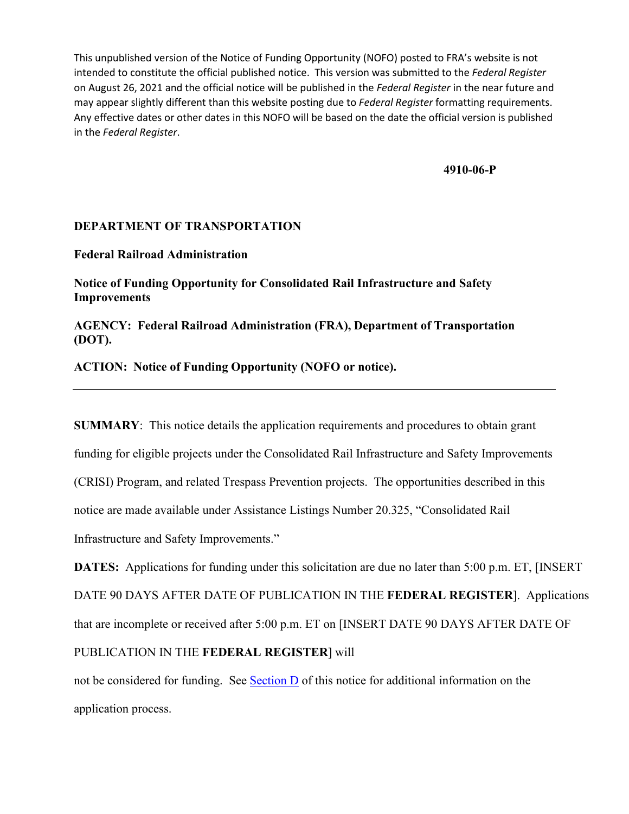**4910-06-P** 

## **DEPARTMENT OF TRANSPORTATION**

**Federal Railroad Administration** 

**Notice of Funding Opportunity for Consolidated Rail Infrastructure and Safety Improvements** 

**AGENCY: Federal Railroad Administration (FRA), Department of Transportation (DOT).** 

**ACTION: Notice of Funding Opportunity (NOFO or notice).**

**SUMMARY**: This notice details the application requirements and procedures to obtain grant funding for eligible projects under the Consolidated Rail Infrastructure and Safety Improvements (CRISI) Program, and related Trespass Prevention projects. The opportunities described in this notice are made available under Assistance Listings Number 20.325, "Consolidated Rail Infrastructure and Safety Improvements."

**DATES:** Applications for funding under this solicitation are due no later than 5:00 p.m. ET, [INSERT DATE 90 DAYS AFTER DATE OF PUBLICATION IN THE **FEDERAL REGISTER**]. Applications that are incomplete or received after 5:00 p.m. ET on [INSERT DATE 90 DAYS AFTER DATE OF PUBLICATION IN THE **FEDERAL REGISTER**] will

not be considered for funding. See Section D of this notice for additional information on the application process.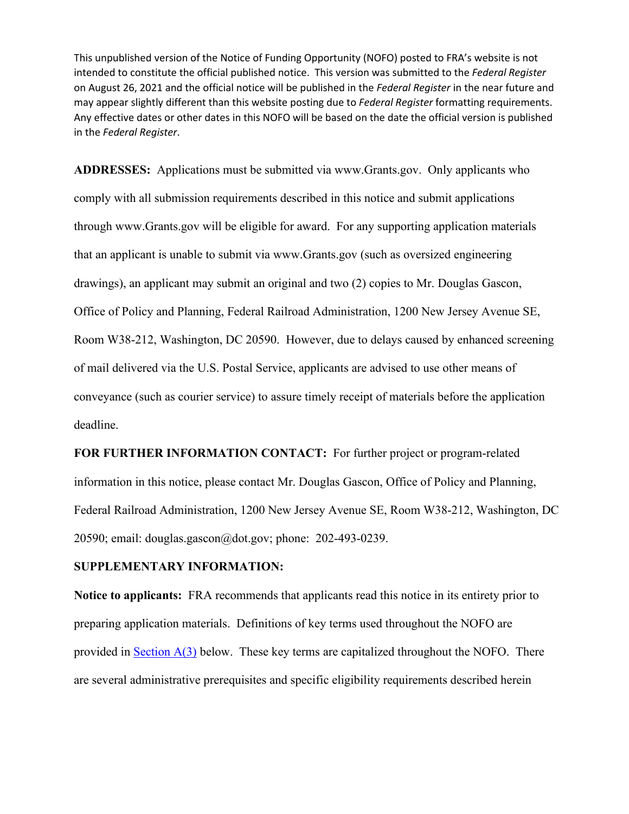**ADDRESSES:** Applications must be submitted via [www.Grants.gov.](http://www.grants.gov/) Only applicants who comply with all submission requirements described in this notice and submit applications through [www.Grants.gov](http://www.grants.gov/) will be eligible for award. For any supporting application materials that an applicant is unable to submit via [www.Grants.gov](http://www.grants.gov/) (such as oversized engineering drawings), an applicant may submit an original and two (2) copies to Mr. Douglas Gascon, Office of Policy and Planning, Federal Railroad Administration, 1200 New Jersey Avenue SE, Room W38-212, Washington, DC 20590. However, due to delays caused by enhanced screening of mail delivered via the U.S. Postal Service, applicants are advised to use other means of conveyance (such as courier service) to assure timely receipt of materials before the application deadline.

**FOR FURTHER INFORMATION CONTACT:** For further project or program-related information in this notice, please contact Mr. Douglas Gascon, Office of Policy and Planning, Federal Railroad Administration, 1200 New Jersey Avenue SE, Room W38-212, Washington, DC 20590; email: [douglas.gascon@dot.gov;](mailto:douglas.gascon@dot.gov) phone: 202-493-0239.

## **SUPPLEMENTARY INFORMATION:**

**Notice to applicants:** FRA recommends that applicants read this notice in its entirety prior to preparing application materials. Definitions of key terms used throughout the NOFO are provided in Section  $A(3)$  below. These key terms are capitalized throughout the NOFO. There are several administrative prerequisites and specific eligibility requirements described herein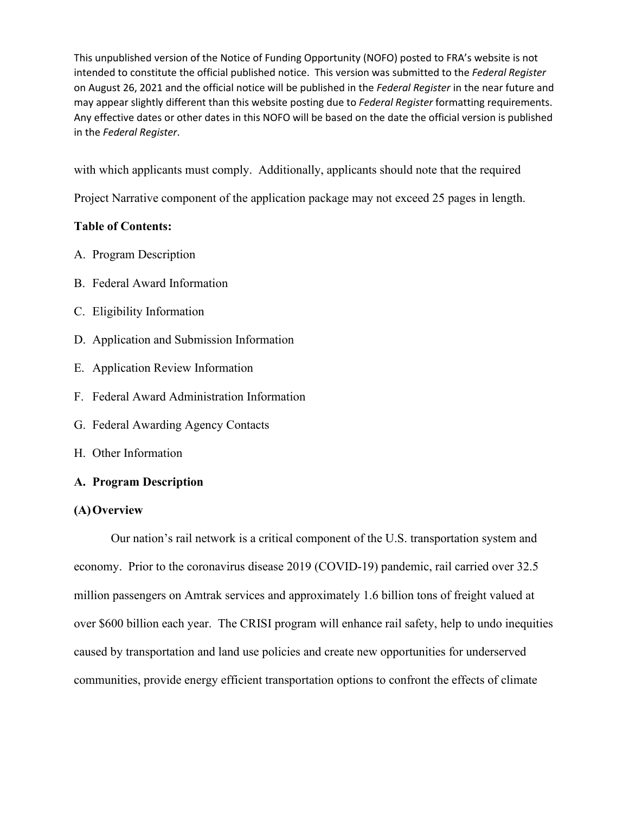with which applicants must comply. Additionally, applicants should note that the required

Project Narrative component of the application package may not exceed 25 pages in length.

## **Table of Contents:**

- A. Program Description
- B. Federal Award Information
- C. Eligibility Information
- D. Application and Submission Information
- E. Application Review Information
- F. Federal Award Administration Information
- G. Federal Awarding Agency Contacts
- H. Other Information

# **A. Program Description**

## **(A)Overview**

Our nation's rail network is a critical component of the U.S. transportation system and economy. Prior to the coronavirus disease 2019 (COVID-19) pandemic, rail carried over 32.5 million passengers on Amtrak services and approximately 1.6 billion tons of freight valued at over \$600 billion each year. The CRISI program will enhance rail safety, help to undo inequities caused by transportation and land use policies and create new opportunities for underserved communities, provide energy efficient transportation options to confront the effects of climate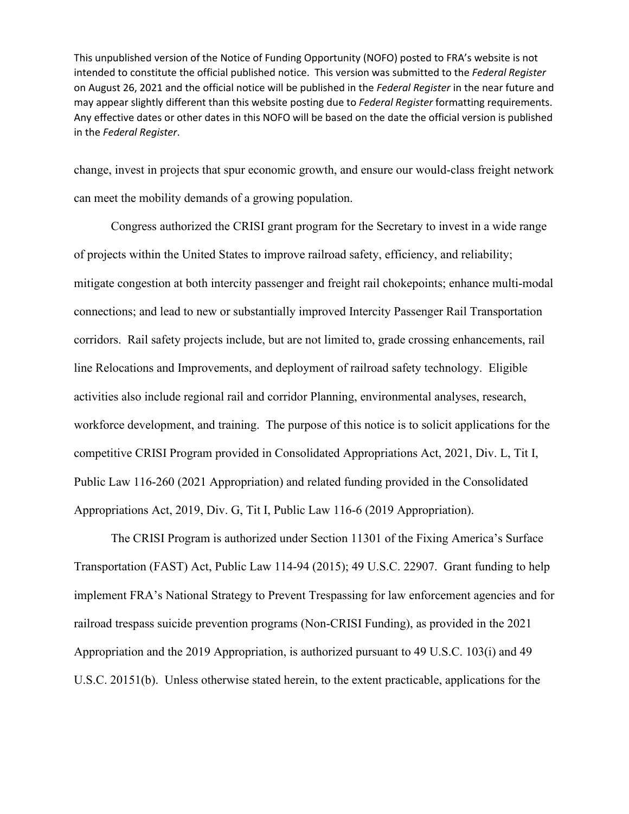change, invest in projects that spur economic growth, and ensure our would-class freight network can meet the mobility demands of a growing population.

 Congress authorized the CRISI grant program for the Secretary to invest in a wide range of projects within the United States to improve railroad safety, efficiency, and reliability; mitigate congestion at both intercity passenger and freight rail chokepoints; enhance multi-modal connections; and lead to new or substantially improved Intercity Passenger Rail Transportation corridors. Rail safety projects include, but are not limited to, grade crossing enhancements, rail line Relocations and Improvements, and deployment of railroad safety technology. Eligible activities also include regional rail and corridor Planning, environmental analyses, research, workforce development, and training. The purpose of this notice is to solicit applications for the competitive CRISI Program provided in Consolidated Appropriations Act, 2021, Div. L, Tit I, Public Law 116-260 (2021 Appropriation) and related funding provided in the Consolidated Appropriations Act, 2019, Div. G, Tit I, Public Law 116-6 (2019 Appropriation).

 The CRISI Program is authorized under Section 11301 of the Fixing America's Surface Transportation (FAST) Act, Public Law 114-94 (2015); 49 U.S.C. 22907. Grant funding to help implement FRA's National Strategy to Prevent Trespassing for law enforcement agencies and for railroad trespass suicide prevention programs (Non-CRISI Funding), as provided in the 2021 Appropriation and the 2019 Appropriation, is authorized pursuant to 49 U.S.C. 103(i) and 49 U.S.C. 20151(b). Unless otherwise stated herein, to the extent practicable, applications for the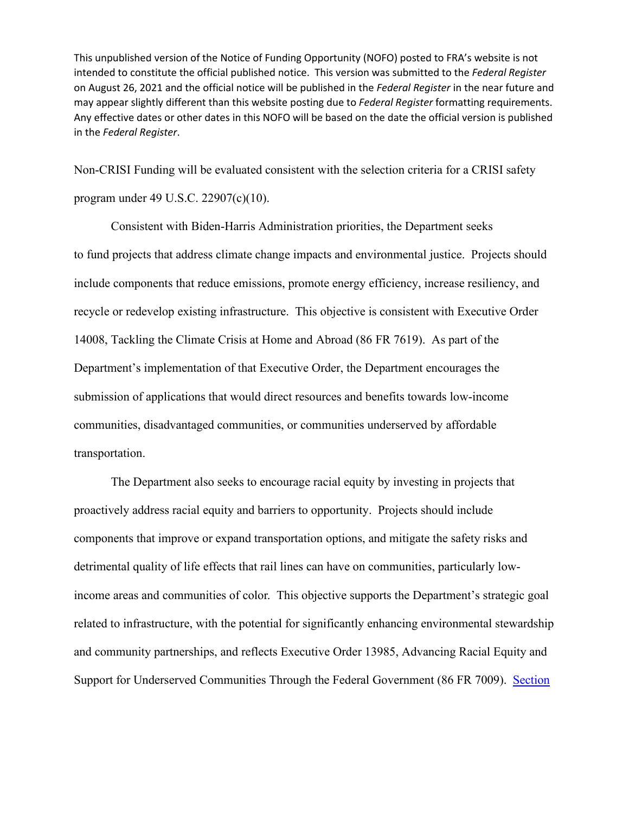Non-CRISI Funding will be evaluated consistent with the selection criteria for a CRISI safety program under 49 U.S.C. 22907(c)(10).

Consistent with Biden-Harris Administration priorities, the Department seeks to fund projects that address climate change impacts and environmental justice. Projects should include components that reduce emissions, promote energy efficiency, increase resiliency, and recycle or redevelop existing infrastructure. This objective is consistent with Executive Order 14008, Tackling the Climate Crisis at Home and Abroad (86 FR 7619). As part of the Department's implementation of that Executive Order, the Department encourages the submission of applications that would direct resources and benefits towards low-income communities, disadvantaged communities, or communities underserved by affordable transportation.

The Department also seeks to encourage racial equity by investing in projects that proactively address racial equity and barriers to opportunity. Projects should include components that improve or expand transportation options, and mitigate the safety risks and detrimental quality of life effects that rail lines can have on communities, particularly lowincome areas and communities of color. This objective supports the Department's strategic goal related to infrastructure, with the potential for significantly enhancing environmental stewardship and community partnerships, and reflects Executive Order 13985, Advancing Racial Equity and Support for Underserved Communities Through the Federal Government (86 FR 7009). Section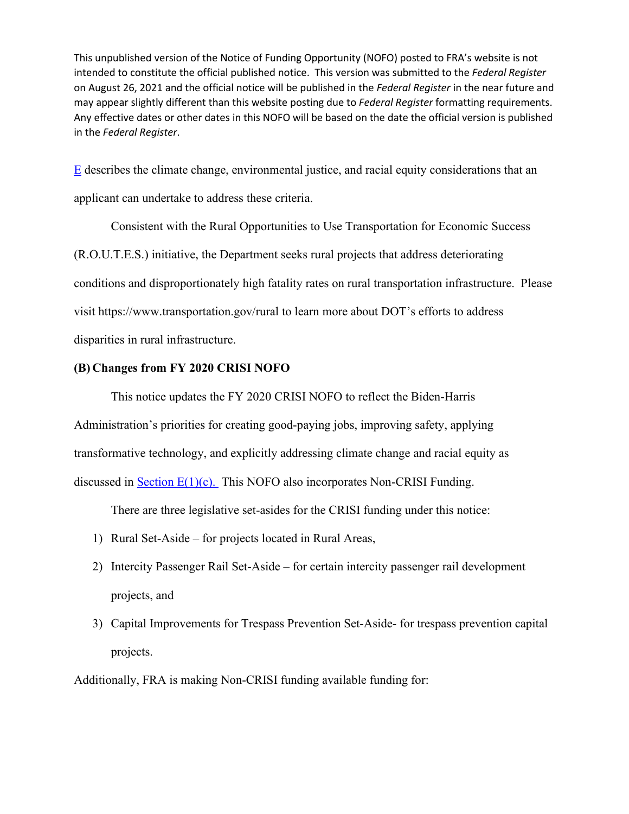E describes the climate change, environmental justice, and racial equity considerations that an applicant can undertake to address these criteria.

 Consistent with the Rural Opportunities to Use Transportation for Economic Success (R.O.U.T.E.S.) initiative, the Department seeks rural projects that address deteriorating conditions and disproportionately high fatality rates on rural transportation infrastructure. Please visit<https://www.transportation.gov/rural>to learn more about DOT's efforts to address disparities in rural infrastructure.

## **(B) Changes from FY 2020 CRISI NOFO**

 This notice updates the FY 2020 CRISI NOFO to reflect the Biden-Harris Administration's priorities for creating good-paying jobs, improving safety, applying transformative technology, and explicitly addressing climate change and racial equity as discussed in **Section E(1)(c)**. This NOFO also incorporates Non-CRISI Funding.

There are three legislative set-asides for the CRISI funding under this notice:

- 1) Rural Set-Aside for projects located in Rural Areas,
- 2) Intercity Passenger Rail Set-Aside for certain intercity passenger rail development projects, and
- 3) Capital Improvements for Trespass Prevention Set-Aside- for trespass prevention capital projects.

Additionally, FRA is making Non-CRISI funding available funding for: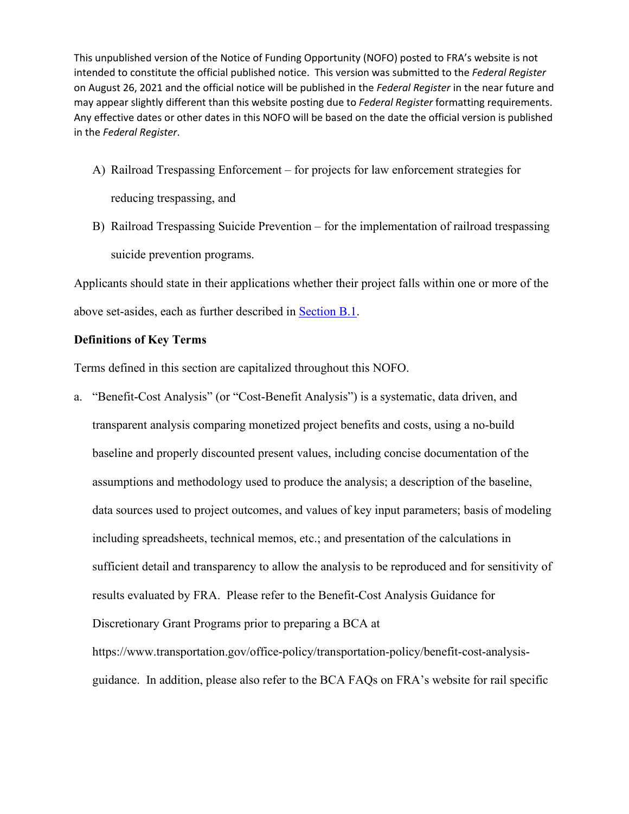- A) Railroad Trespassing Enforcement for projects for law enforcement strategies for reducing trespassing, and
- B) Railroad Trespassing Suicide Prevention for the implementation of railroad trespassing suicide prevention programs.

Applicants should state in their applications whether their project falls within one or more of the above set-asides, each as further described in [Section B.1.](#page-10-0)

#### <span id="page-6-0"></span>**Definitions of Key Terms**

Terms defined in this section are capitalized throughout this NOFO.

a. "Benefit-Cost Analysis" (or "Cost-Benefit Analysis") is a systematic, data driven, and transparent analysis comparing monetized project benefits and costs, using a no-build baseline and properly discounted present values, including concise documentation of the assumptions and methodology used to produce the analysis; a description of the baseline, data sources used to project outcomes, and values of key input parameters; basis of modeling including spreadsheets, technical memos, etc.; and presentation of the calculations in sufficient detail and transparency to allow the analysis to be reproduced and for sensitivity of results evaluated by FRA. Please refer to the Benefit-Cost Analysis Guidance for Discretionary Grant Programs prior to preparing a BCA at [https://www.transportation.gov/office-policy/transportation-policy/benefit-cost-analysis-](https://www.transportation.gov/office-policy/transportation-policy/benefit-cost-analysis-guidance)

[guidance.](https://www.transportation.gov/office-policy/transportation-policy/benefit-cost-analysis-guidance) In addition, please also refer to the BCA FAQs on FRA's website for rail specific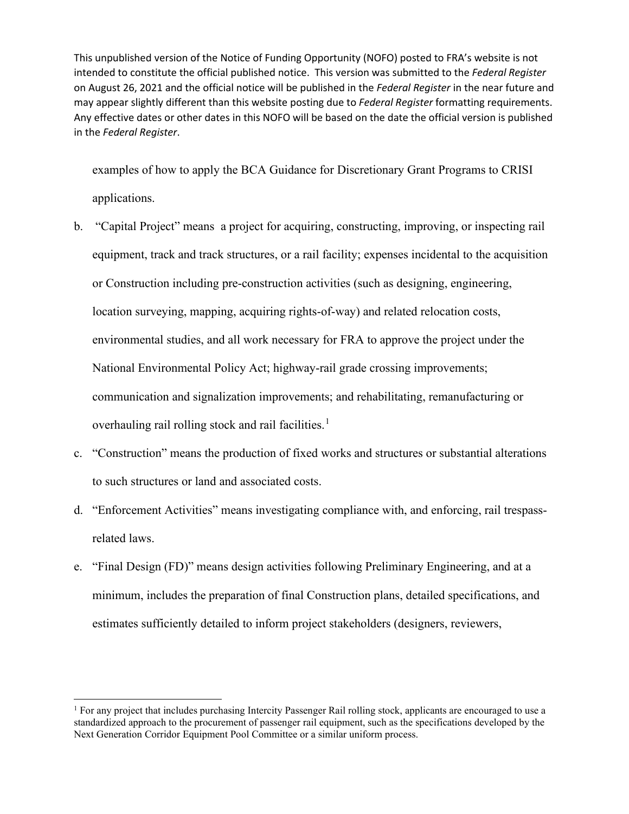examples of how to apply the BCA Guidance for Discretionary Grant Programs to CRISI applications.

- b. "Capital Project" means a project for acquiring, constructing, improving, or inspecting rail equipment, track and track structures, or a rail facility; expenses incidental to the acquisition or Construction including pre-construction activities (such as designing, engineering, location surveying, mapping, acquiring rights-of-way) and related relocation costs, environmental studies, and all work necessary for FRA to approve the project under the National Environmental Policy Act; highway-rail grade crossing improvements; communication and signalization improvements; and rehabilitating, remanufacturing or overhauling rail rolling stock and rail facilities.<sup>[1](#page-7-0)</sup>
- c. "Construction" means the production of fixed works and structures or substantial alterations to such structures or land and associated costs.
- d. "Enforcement Activities" means investigating compliance with, and enforcing, rail trespassrelated laws.
- e. "Final Design (FD)" means design activities following Preliminary Engineering, and at a minimum, includes the preparation of final Construction plans, detailed specifications, and estimates sufficiently detailed to inform project stakeholders (designers, reviewers,

<span id="page-7-0"></span> $<sup>1</sup>$  For any project that includes purchasing Intercity Passenger Rail rolling stock, applicants are encouraged to use a</sup> standardized approach to the procurement of passenger rail equipment, such as the specifications developed by the Next Generation Corridor Equipment Pool Committee or a similar uniform process.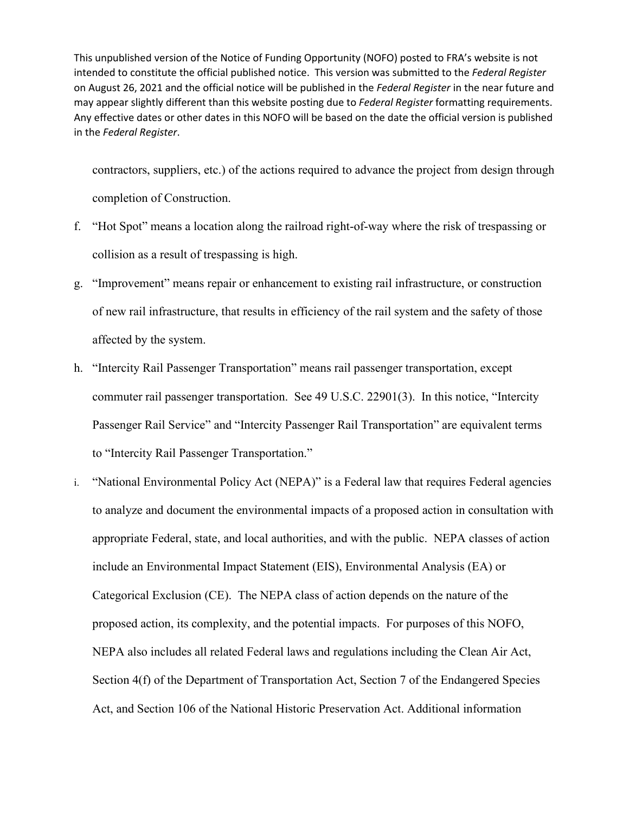contractors, suppliers, etc.) of the actions required to advance the project from design through completion of Construction.

- f. "Hot Spot" means a location along the railroad right-of-way where the risk of trespassing or collision as a result of trespassing is high.
- g. "Improvement" means repair or enhancement to existing rail infrastructure, or construction of new rail infrastructure, that results in efficiency of the rail system and the safety of those affected by the system.
- h. "Intercity Rail Passenger Transportation" means rail passenger transportation, except commuter rail passenger transportation. See 49 U.S.C. 22901(3). In this notice, "Intercity Passenger Rail Service" and "Intercity Passenger Rail Transportation" are equivalent terms to "Intercity Rail Passenger Transportation."
- i. "National Environmental Policy Act (NEPA)" is a Federal law that requires Federal agencies to analyze and document the environmental impacts of a proposed action in consultation with appropriate Federal, state, and local authorities, and with the public. NEPA classes of action include an Environmental Impact Statement (EIS), Environmental Analysis (EA) or Categorical Exclusion (CE). The NEPA class of action depends on the nature of the proposed action, its complexity, and the potential impacts. For purposes of this NOFO, NEPA also includes all related Federal laws and regulations including the Clean Air Act, Section 4(f) of the Department of Transportation Act, Section 7 of the Endangered Species Act, and Section 106 of the National Historic Preservation Act. Additional information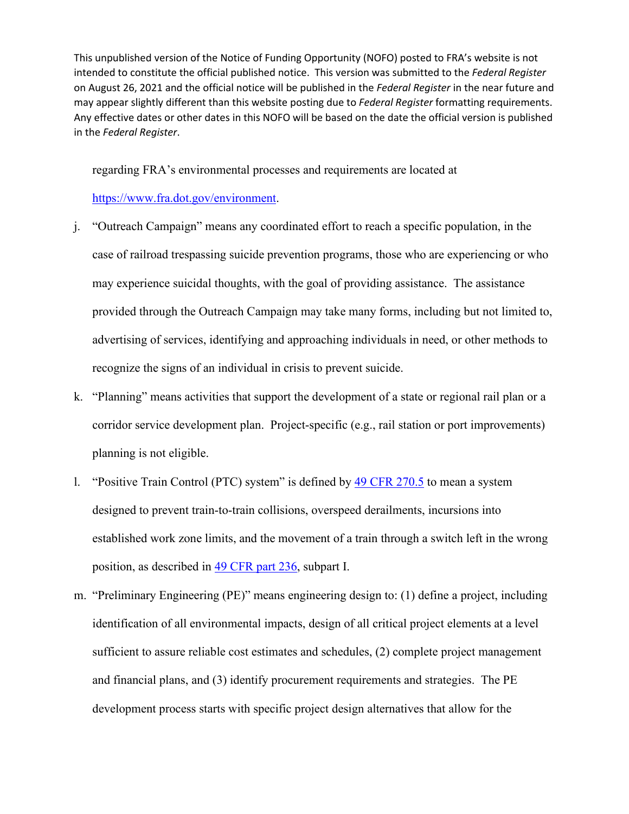regarding FRA's environmental processes and requirements are located at

[https://www.fra.dot.gov/environment.](https://www.fra.dot.gov/environment)

- j. "Outreach Campaign" means any coordinated effort to reach a specific population, in the case of railroad trespassing suicide prevention programs, those who are experiencing or who may experience suicidal thoughts, with the goal of providing assistance. The assistance provided through the Outreach Campaign may take many forms, including but not limited to, advertising of services, identifying and approaching individuals in need, or other methods to recognize the signs of an individual in crisis to prevent suicide.
- k. "Planning" means activities that support the development of a state or regional rail plan or a corridor service development plan. Project-specific (e.g., rail station or port improvements) planning is not eligible.
- l. "Positive Train Control (PTC) system" is defined by [49 CFR 270.5](https://www.govinfo.gov/content/pkg/CFR-2018-title49-vol4/xml/CFR-2018-title49-vol4-sec270-5.xml) to mean a system designed to prevent train-to-train collisions, overspeed derailments, incursions into established work zone limits, and the movement of a train through a switch left in the wrong position, as described in [49 CFR part 236,](https://www.govinfo.gov/content/pkg/CFR-2018-title49-vol4/xml/CFR-2018-title49-vol4-part236.xml) subpart I.
- m. "Preliminary Engineering (PE)" means engineering design to: (1) define a project, including identification of all environmental impacts, design of all critical project elements at a level sufficient to assure reliable cost estimates and schedules, (2) complete project management and financial plans, and (3) identify procurement requirements and strategies. The PE development process starts with specific project design alternatives that allow for the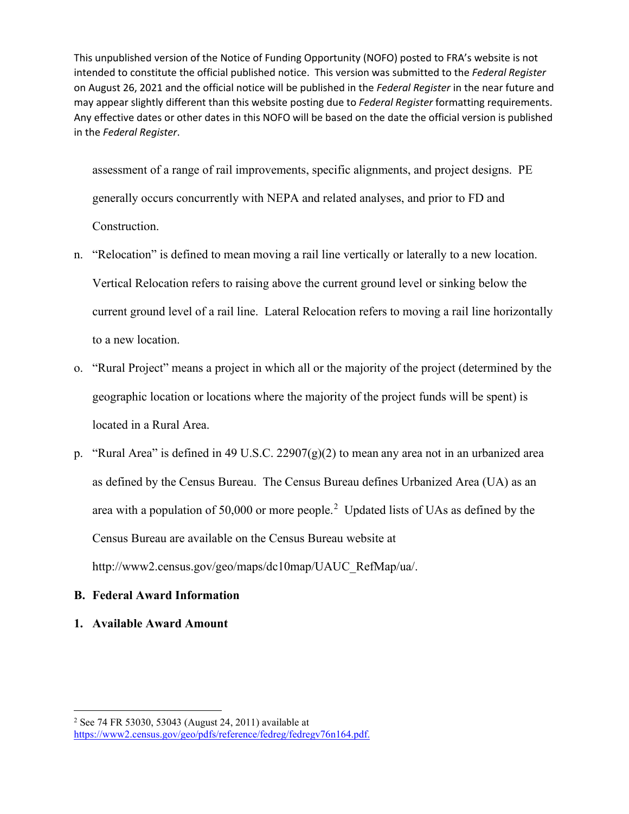assessment of a range of rail improvements, specific alignments, and project designs. PE generally occurs concurrently with NEPA and related analyses, and prior to FD and Construction.

- n. "Relocation" is defined to mean moving a rail line vertically or laterally to a new location. Vertical Relocation refers to raising above the current ground level or sinking below the current ground level of a rail line. Lateral Relocation refers to moving a rail line horizontally to a new location.
- o. "Rural Project" means a project in which all or the majority of the project (determined by the geographic location or locations where the majority of the project funds will be spent) is located in a Rural Area.
- p. "Rural Area" is defined in 49 U.S.C. 22907 $(g)(2)$  to mean any area not in an urbanized area as defined by the Census Bureau. The Census Bureau defines Urbanized Area (UA) as an area with a population of 50,000 or more people.<sup>[2](#page-10-1)</sup> Updated lists of UAs as defined by the Census Bureau are available on the Census Bureau website at [http://www2.census.gov/geo/maps/dc10map/UAUC\\_RefMap/ua/.](http://www2.census.gov/geo/maps/dc10map/UAUC_RefMap/ua/)

# **B. Federal Award Information**

<span id="page-10-0"></span>**1. Available Award Amount** 

<span id="page-10-1"></span><sup>2</sup> See 74 FR 53030, 53043 (August 24, 2011) available at [https://www2.census.gov/geo/pdfs/reference/fedreg/fedregv76n164.pdf.](https://www2.census.gov/geo/pdfs/reference/fedreg/fedregv76n164.pdf)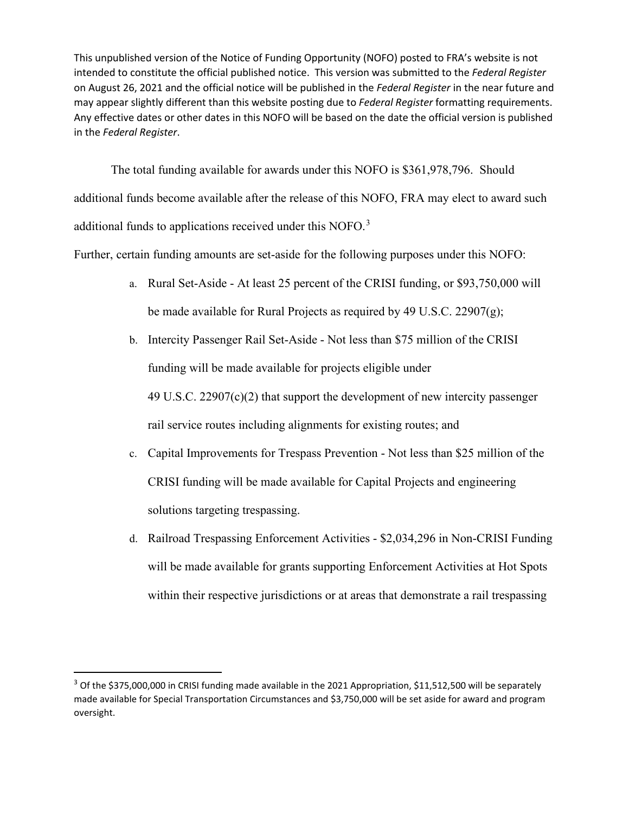The total funding available for awards under this NOFO is \$361,978,796. Should additional funds become available after the release of this NOFO, FRA may elect to award such additional funds to applications received under this NOFO.<sup>[3](#page-11-0)</sup>

Further, certain funding amounts are set-aside for the following purposes under this NOFO:

- a. Rural Set-Aside At least 25 percent of the CRISI funding, or \$93,750,000 will be made available for Rural Projects as required by 49 U.S.C. 22907(g);
- b. Intercity Passenger Rail Set-Aside Not less than \$75 million of the CRISI funding will be made available for projects eligible under 49 U.S.C. 22907(c)(2) that support the development of new intercity passenger rail service routes including alignments for existing routes; and
- c. Capital Improvements for Trespass Prevention Not less than \$25 million of the CRISI funding will be made available for Capital Projects and engineering solutions targeting trespassing.
- d. Railroad Trespassing Enforcement Activities \$2,034,296 in Non-CRISI Funding will be made available for grants supporting Enforcement Activities at Hot Spots within their respective jurisdictions or at areas that demonstrate a rail trespassing

<span id="page-11-0"></span> $3$  Of the \$375,000,000 in CRISI funding made available in the 2021 Appropriation, \$11,512,500 will be separately made available for Special Transportation Circumstances and \$3,750,000 will be set aside for award and program oversight.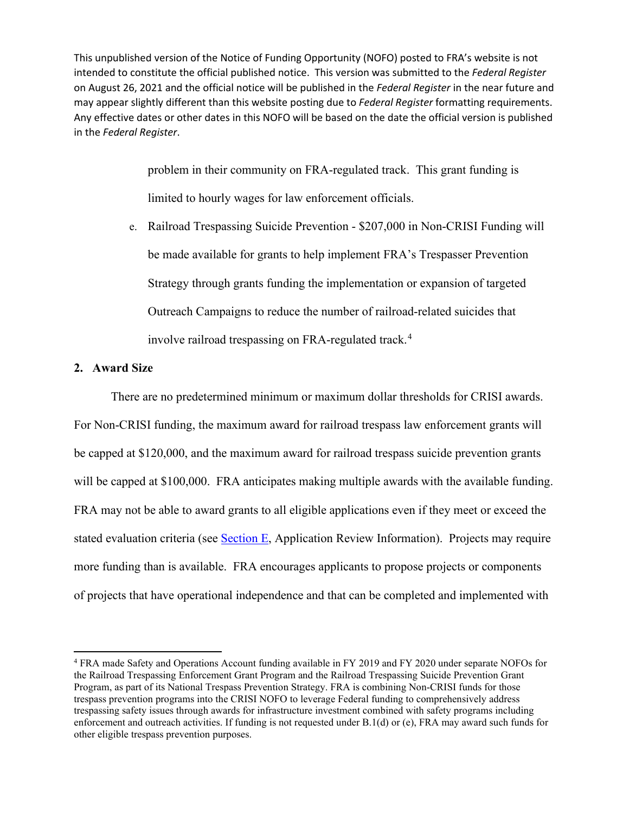> problem in their community on FRA-regulated track. This grant funding is limited to hourly wages for law enforcement officials.

e. Railroad Trespassing Suicide Prevention - \$207,000 in Non-CRISI Funding will be made available for grants to help implement FRA's Trespasser Prevention Strategy through grants funding the implementation or expansion of targeted Outreach Campaigns to reduce the number of railroad-related suicides that involve railroad trespassing on FRA-regulated track.<sup>[4](#page-12-0)</sup>

## **2. Award Size**

 There are no predetermined minimum or maximum dollar thresholds for CRISI awards. For Non-CRISI funding, the maximum award for railroad trespass law enforcement grants will be capped at \$120,000, and the maximum award for railroad trespass suicide prevention grants will be capped at \$100,000. FRA anticipates making multiple awards with the available funding. FRA may not be able to award grants to all eligible applications even if they meet or exceed the stated evaluation criteria (see Section E, Application Review Information). Projects may require more funding than is available. FRA encourages applicants to propose projects or components of projects that have operational independence and that can be completed and implemented with

<span id="page-12-0"></span><sup>4</sup> FRA made Safety and Operations Account funding available in FY 2019 and FY 2020 under separate NOFOs for the Railroad Trespassing Enforcement Grant Program and the Railroad Trespassing Suicide Prevention Grant Program, as part of its National Trespass Prevention Strategy. FRA is combining Non-CRISI funds for those trespass prevention programs into the CRISI NOFO to leverage Federal funding to comprehensively address trespassing safety issues through awards for infrastructure investment combined with safety programs including enforcement and outreach activities. If funding is not requested under B.1(d) or (e), FRA may award such funds for other eligible trespass prevention purposes.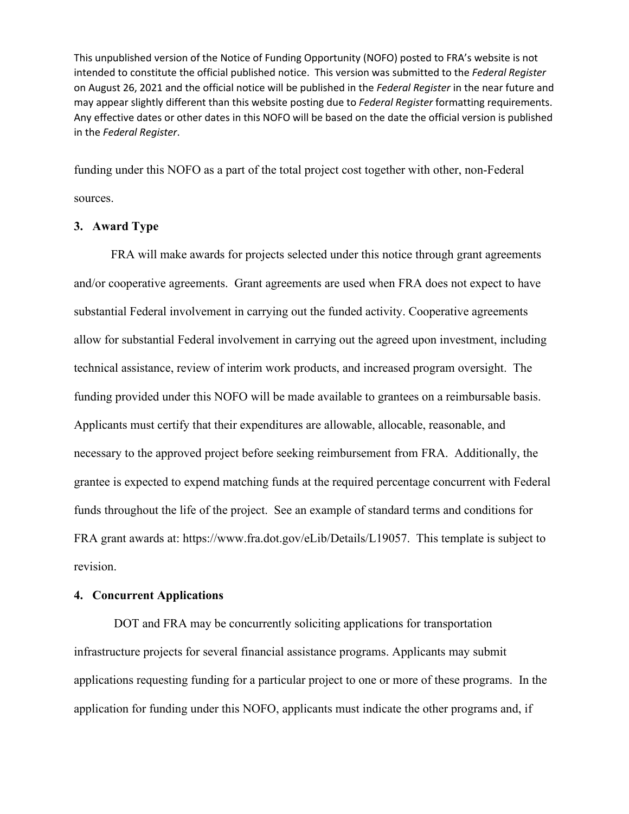funding under this NOFO as a part of the total project cost together with other, non-Federal sources.

## **3. Award Type**

FRA will make awards for projects selected under this notice through grant agreements and/or cooperative agreements. Grant agreements are used when FRA does not expect to have substantial Federal involvement in carrying out the funded activity. Cooperative agreements allow for substantial Federal involvement in carrying out the agreed upon investment, including technical assistance, review of interim work products, and increased program oversight. The funding provided under this NOFO will be made available to grantees on a reimbursable basis. Applicants must certify that their expenditures are allowable, allocable, reasonable, and necessary to the approved project before seeking reimbursement from FRA. Additionally, the grantee is expected to expend matching funds at the required percentage concurrent with Federal funds throughout the life of the project. See an example of standard terms and conditions for FRA grant awards at: [https://www.fra.dot.gov/eLib/Details/L19057.](https://www.fra.dot.gov/eLib/Details/L19057) This template is subject to revision.

#### **4. Concurrent Applications**

 DOT and FRA may be concurrently soliciting applications for transportation infrastructure projects for several financial assistance programs. Applicants may submit applications requesting funding for a particular project to one or more of these programs. In the application for funding under this NOFO, applicants must indicate the other programs and, if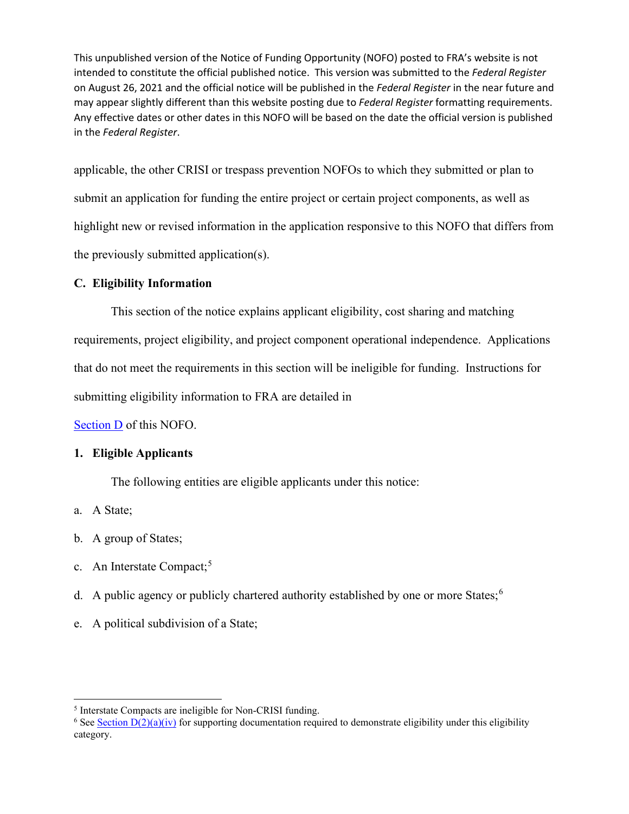applicable, the other CRISI or trespass prevention NOFOs to which they submitted or plan to submit an application for funding the entire project or certain project components, as well as highlight new or revised information in the application responsive to this NOFO that differs from the previously submitted application(s).

# **C. Eligibility Information**

This section of the notice explains applicant eligibility, cost sharing and matching requirements, project eligibility, and project component operational independence. Applications that do not meet the requirements in this section will be ineligible for funding. Instructions for submitting eligibility information to FRA are detailed in

Section D of this NOFO.

## **1. Eligible Applicants**

The following entities are eligible applicants under this notice:

- a. A State;
- b. A group of States;
- c. An Interstate Compact:<sup>[5](#page-14-0)</sup>
- d. A public agency or publicly chartered authority established by one or more States;  $6\%$  $6\%$
- e. A political subdivision of a State;

<span id="page-14-1"></span><span id="page-14-0"></span><sup>&</sup>lt;sup>5</sup> Interstate Compacts are ineligible for Non-CRISI funding.<br><sup>6</sup> See <u>Section D(2)(a)(iv)</u> for supporting documentation required to demonstrate eligibility under this eligibility category.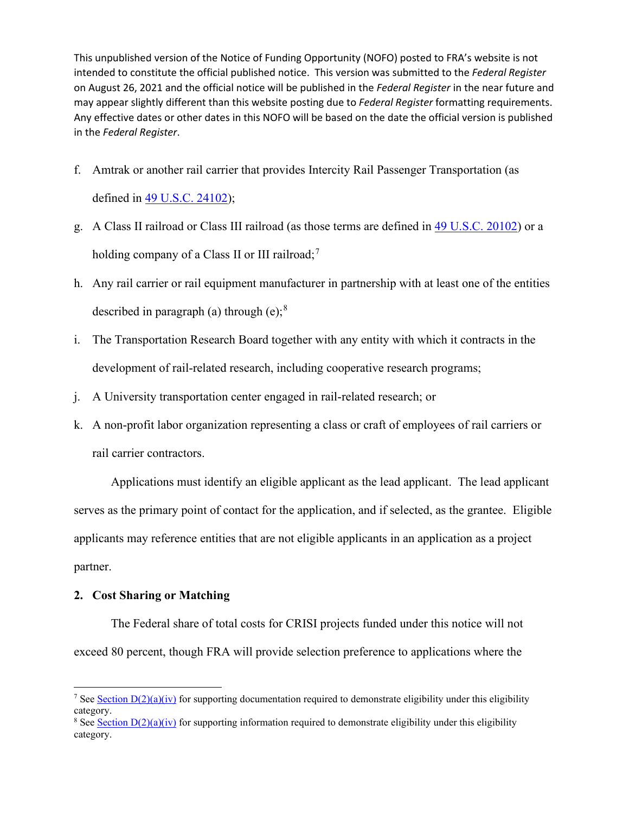- f. Amtrak or another rail carrier that provides Intercity Rail Passenger Transportation (as defined in [49 U.S.C. 24102\)](https://www.govinfo.gov/content/pkg/USCODE-2017-title49/html/USCODE-2017-title49-subtitleV-partC-chap241-sec24102.htm);
- g. A Class II railroad or Class III railroad (as those terms are defined in [49 U.S.C. 20102\)](https://www.govinfo.gov/content/pkg/USCODE-2011-title49/html/USCODE-2011-title49-subtitleV-partA-chap201-subchapI-sec20102.htm) or a holding company of a Class II or III railroad;<sup>[7](#page-15-0)</sup>
- h. Any rail carrier or rail equipment manufacturer in partnership with at least one of the entities described in paragraph (a) through (e);  $8<sup>8</sup>$  $8<sup>8</sup>$
- i. The Transportation Research Board together with any entity with which it contracts in the development of rail-related research, including cooperative research programs;
- j. A University transportation center engaged in rail-related research; or
- k. A non-profit labor organization representing a class or craft of employees of rail carriers or rail carrier contractors.

Applications must identify an eligible applicant as the lead applicant. The lead applicant serves as the primary point of contact for the application, and if selected, as the grantee. Eligible applicants may reference entities that are not eligible applicants in an application as a project partner.

## **2. Cost Sharing or Matching**

The Federal share of total costs for CRISI projects funded under this notice will not exceed 80 percent, though FRA will provide selection preference to applications where the

<span id="page-15-0"></span><sup>&</sup>lt;sup>7</sup> See Section  $D(2)(a)(iv)$  for supporting documentation required to demonstrate eligibility under this eligibility category.

<span id="page-15-1"></span><sup>&</sup>lt;sup>8</sup> See Section  $D(2)(a)(iv)$  for supporting information required to demonstrate eligibility under this eligibility category.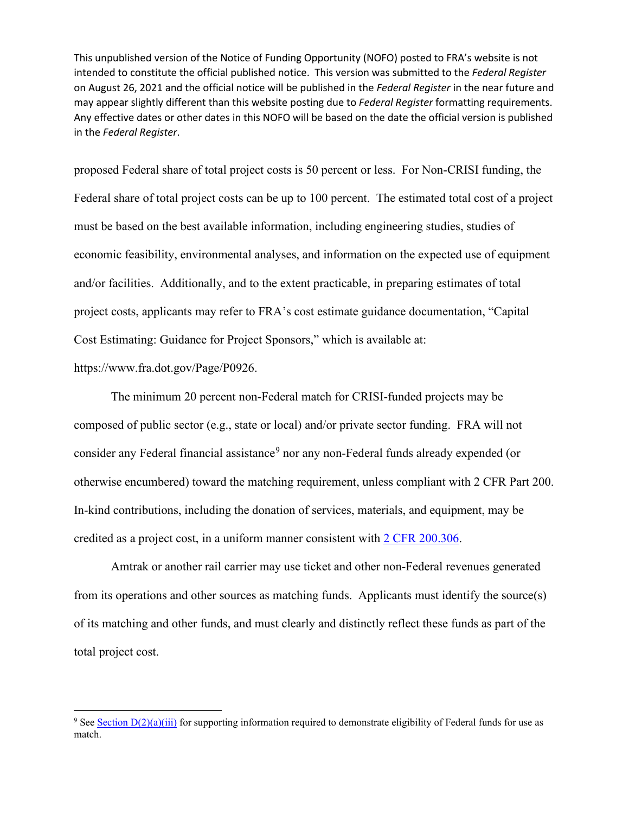proposed Federal share of total project costs is 50 percent or less. For Non-CRISI funding, the Federal share of total project costs can be up to 100 percent. The estimated total cost of a project must be based on the best available information, including engineering studies, studies of economic feasibility, environmental analyses, and information on the expected use of equipment and/or facilities. Additionally, and to the extent practicable, in preparing estimates of total project costs, applicants may refer to FRA's cost estimate guidance documentation, "Capital Cost Estimating: Guidance for Project Sponsors," which is available at:

[https://www.fra.dot.gov/Page/P0926.](https://www.fra.dot.gov/Page/P0926)

The minimum 20 percent non-Federal match for CRISI-funded projects may be composed of public sector (e.g., state or local) and/or private sector funding. FRA will not consider any Federal financial assistance<sup>[9](#page-16-0)</sup> nor any non-Federal funds already expended (or otherwise encumbered) toward the matching requirement, unless compliant with 2 CFR Part 200. In-kind contributions, including the donation of services, materials, and equipment, may be credited as a project cost, in a uniform manner consistent with [2 CFR 200.306.](https://www.govinfo.gov/content/pkg/CFR-2018-title2-vol1/xml/CFR-2018-title2-vol1-sec200-306.xml)

Amtrak or another rail carrier may use ticket and other non-Federal revenues generated from its operations and other sources as matching funds. Applicants must identify the source(s) of its matching and other funds, and must clearly and distinctly reflect these funds as part of the total project cost.

<span id="page-16-0"></span><sup>&</sup>lt;sup>9</sup> See Section  $D(2)(a)(iii)$  for supporting information required to demonstrate eligibility of Federal funds for use as match.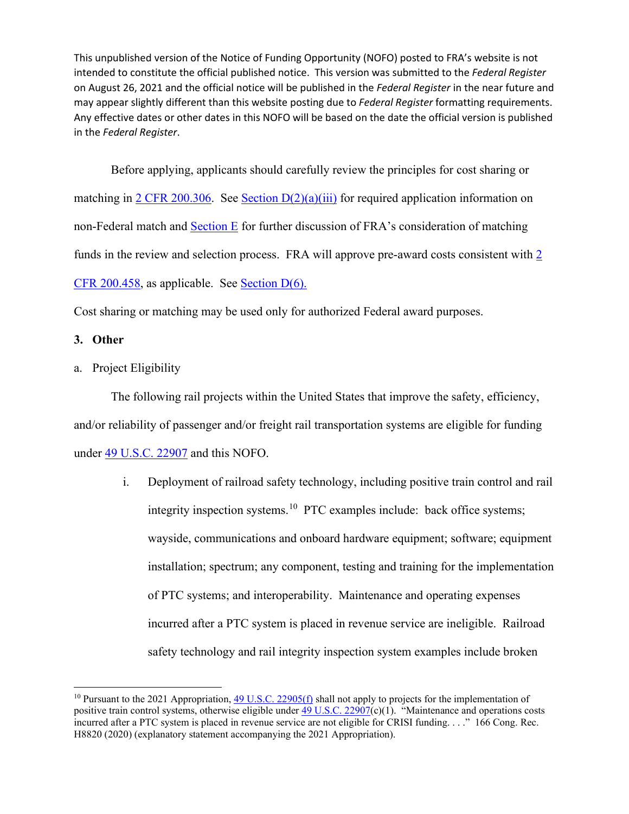Before applying, applicants should carefully review the principles for cost sharing or matching in [2 CFR 200.306.](https://www.govinfo.gov/content/pkg/CFR-2018-title2-vol1/xml/CFR-2018-title2-vol1-sec200-306.xml) See Section  $D(2)(a)(iii)$  for required application information on non-Federal match and Section E for further discussion of FRA's consideration of matching funds in the review and selection process. FRA will approve pre-award costs consistent with [2](https://www.govinfo.gov/content/pkg/CFR-2018-title2-vol1/xml/CFR-2018-title2-vol1-sec200-458.xml)  [CFR 200.458,](https://www.govinfo.gov/content/pkg/CFR-2018-title2-vol1/xml/CFR-2018-title2-vol1-sec200-458.xml) as applicable. See [Section D\(6\).](#page-45-0) 

Cost sharing or matching may be used only for authorized Federal award purposes.

## <span id="page-17-1"></span>**3. Other**

a. Project Eligibility

The following rail projects within the United States that improve the safety, efficiency, and/or reliability of passenger and/or freight rail transportation systems are eligible for funding under [49 U.S.C. 22907](http://uscode.house.gov/view.xhtml?req=(title:49%20section:22907%20edition:prelim)%20OR%20(granuleid:USC-prelim-title49-section22907)&f=treesort&edition=prelim&num=0&jumpTo=true) and this NOFO.

> i. Deployment of railroad safety technology, including positive train control and rail integrity inspection systems.<sup>10</sup> PTC examples include: back office systems; wayside, communications and onboard hardware equipment; software; equipment installation; spectrum; any component, testing and training for the implementation of PTC systems; and interoperability. Maintenance and operating expenses incurred after a PTC system is placed in revenue service are ineligible. Railroad safety technology and rail integrity inspection system examples include broken

<span id="page-17-0"></span><sup>&</sup>lt;sup>10</sup> Pursuant to the 2021 Appropriation[, 49 U.S.C. 22905\(f\)](http://uscode.house.gov/view.xhtml?req=(title:49%20section:22905%20edition:prelim)%20OR%20(granuleid:USC-prelim-title49-section22905)&f=treesort&edition=prelim&num=0&jumpTo=true) shall not apply to projects for the implementation of positive train control systems, otherwise eligible under  $\overline{49}$  U.S.C. 22907(c)(1). "Maintenance and operations costs incurred after a PTC system is placed in revenue service are not eligible for CRISI funding. . . ." 166 Cong. Rec. H8820 (2020) (explanatory statement accompanying the 2021 Appropriation).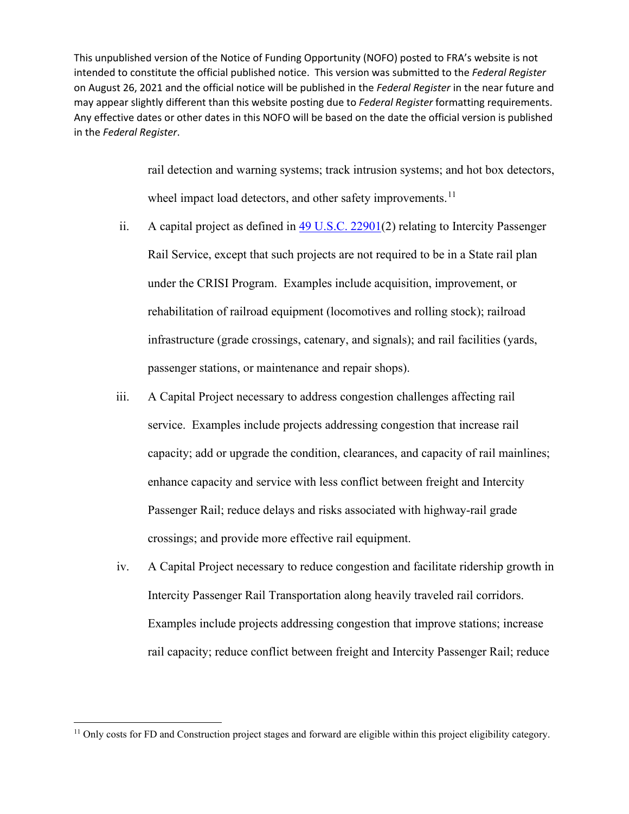> rail detection and warning systems; track intrusion systems; and hot box detectors, wheel impact load detectors, and other safety improvements.<sup>[11](#page-18-0)</sup>

- ii. A capital project as defined in [49 U.S.C.](http://uscode.house.gov/view.xhtml?req=(title:49%20section:22901%20edition:prelim)%20OR%20(granuleid:USC-prelim-title49-section22901)&f=treesort&edition=prelim&num=0&jumpTo=true) 22901(2) relating to Intercity Passenger Rail Service, except that such projects are not required to be in a State rail plan under the CRISI Program. Examples include acquisition, improvement, or rehabilitation of railroad equipment (locomotives and rolling stock); railroad infrastructure (grade crossings, catenary, and signals); and rail facilities (yards, passenger stations, or maintenance and repair shops).
- iii. A Capital Project necessary to address congestion challenges affecting rail service. Examples include projects addressing congestion that increase rail capacity; add or upgrade the condition, clearances, and capacity of rail mainlines; enhance capacity and service with less conflict between freight and Intercity Passenger Rail; reduce delays and risks associated with highway-rail grade crossings; and provide more effective rail equipment.
- <span id="page-18-1"></span>iv. A Capital Project necessary to reduce congestion and facilitate ridership growth in Intercity Passenger Rail Transportation along heavily traveled rail corridors. Examples include projects addressing congestion that improve stations; increase rail capacity; reduce conflict between freight and Intercity Passenger Rail; reduce

<span id="page-18-0"></span><sup>&</sup>lt;sup>11</sup> Only costs for FD and Construction project stages and forward are eligible within this project eligibility category.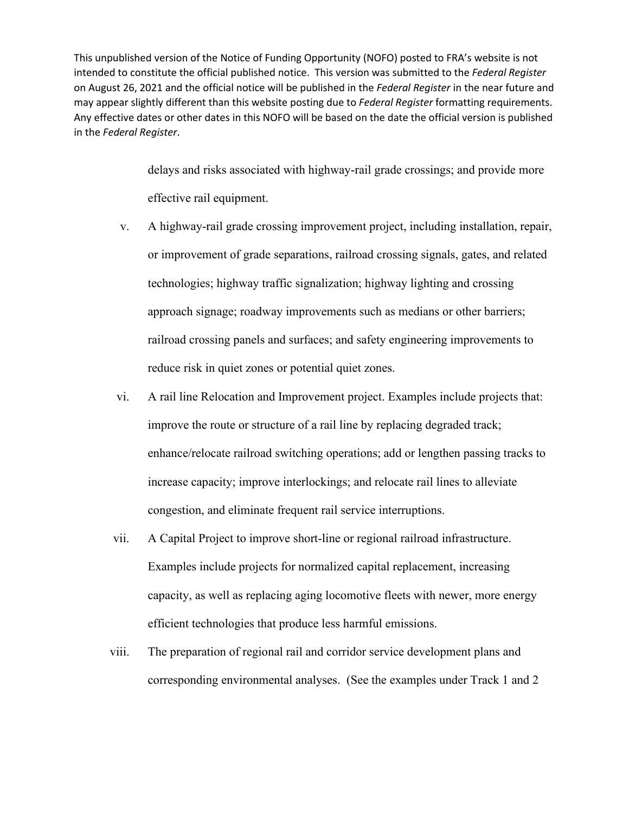> delays and risks associated with highway-rail grade crossings; and provide more effective rail equipment.

- v. A highway-rail grade crossing improvement project, including installation, repair, or improvement of grade separations, railroad crossing signals, gates, and related technologies; highway traffic signalization; highway lighting and crossing approach signage; roadway improvements such as medians or other barriers; railroad crossing panels and surfaces; and safety engineering improvements to reduce risk in quiet zones or potential quiet zones.
- vi. A rail line Relocation and Improvement project. Examples include projects that: improve the route or structure of a rail line by replacing degraded track; enhance/relocate railroad switching operations; add or lengthen passing tracks to increase capacity; improve interlockings; and relocate rail lines to alleviate congestion, and eliminate frequent rail service interruptions.
- vii. A Capital Project to improve short-line or regional railroad infrastructure. Examples include projects for normalized capital replacement, increasing capacity, as well as replacing aging locomotive fleets with newer, more energy efficient technologies that produce less harmful emissions.
- viii. The preparation of regional rail and corridor service development plans and corresponding environmental analyses. (See the examples under Track 1 and 2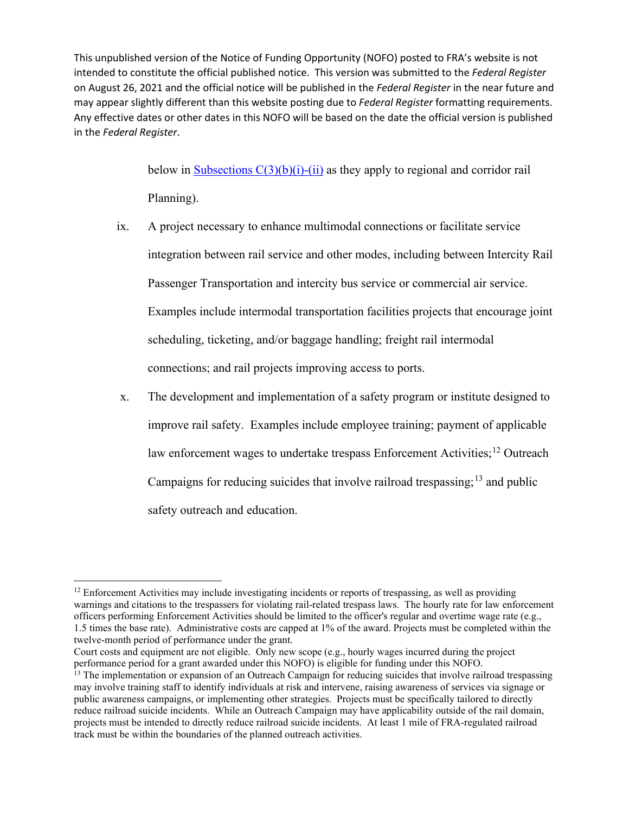> below in Subsections  $C(3)(b)(i)-(ii)$  as they apply to regional and corridor rail Planning).

- ix. A project necessary to enhance multimodal connections or facilitate service integration between rail service and other modes, including between Intercity Rail Passenger Transportation and intercity bus service or commercial air service. Examples include intermodal transportation facilities projects that encourage joint scheduling, ticketing, and/or baggage handling; freight rail intermodal connections; and rail projects improving access to ports.
- x. The development and implementation of a safety program or institute designed to improve rail safety. Examples include employee training; payment of applicable law enforcement wages to undertake trespass Enforcement Activities;<sup>[12](#page-20-0)</sup> Outreach Campaigns for reducing suicides that involve railroad trespassing;  $^{13}$  $^{13}$  $^{13}$  and public safety outreach and education.

Court costs and equipment are not eligible. Only new scope (e.g., hourly wages incurred during the project performance period for a grant awarded under this NOFO) is eligible for funding under this NOFO.

<span id="page-20-0"></span><sup>&</sup>lt;sup>12</sup> Enforcement Activities may include investigating incidents or reports of trespassing, as well as providing warnings and citations to the trespassers for violating rail-related trespass laws. The hourly rate for law enforcement officers performing Enforcement Activities should be limited to the officer's regular and overtime wage rate (e.g., 1.5 times the base rate). Administrative costs are capped at 1% of the award. Projects must be completed within the twelve-month period of performance under the grant.

<span id="page-20-1"></span> $<sup>13</sup>$  The implementation or expansion of an Outreach Campaign for reducing suicides that involve railroad trespassing</sup> may involve training staff to identify individuals at risk and intervene, raising awareness of services via signage or public awareness campaigns, or implementing other strategies. Projects must be specifically tailored to directly reduce railroad suicide incidents. While an Outreach Campaign may have applicability outside of the rail domain, projects must be intended to directly reduce railroad suicide incidents. At least 1 mile of FRA-regulated railroad track must be within the boundaries of the planned outreach activities.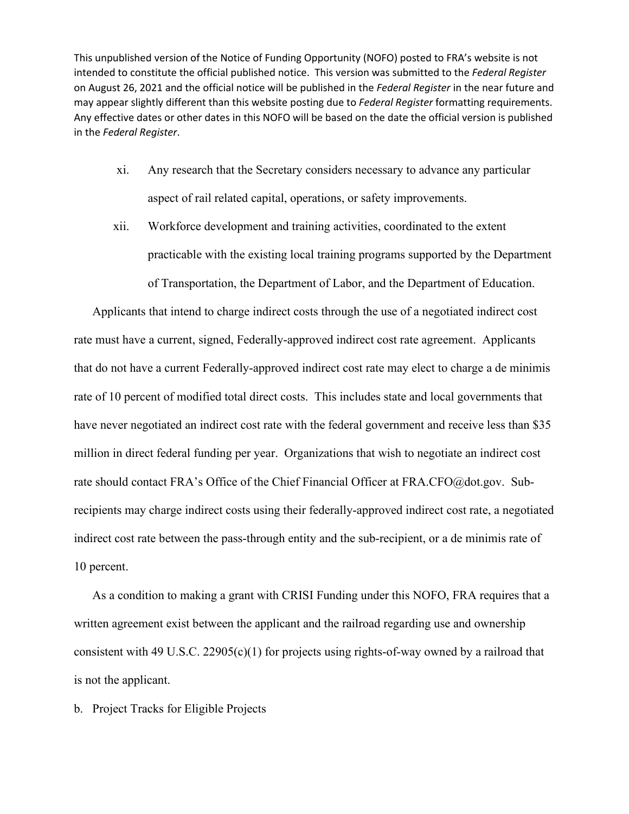- xi. Any research that the Secretary considers necessary to advance any particular aspect of rail related capital, operations, or safety improvements.
- xii. Workforce development and training activities, coordinated to the extent practicable with the existing local training programs supported by the Department of Transportation, the Department of Labor, and the Department of Education.

Applicants that intend to charge indirect costs through the use of a negotiated indirect cost rate must have a current, signed, Federally-approved indirect cost rate agreement. Applicants that do not have a current Federally-approved indirect cost rate may elect to charge a de minimis rate of 10 percent of modified total direct costs. This includes state and local governments that have never negotiated an indirect cost rate with the federal government and receive less than \$35 million in direct federal funding per year. Organizations that wish to negotiate an indirect cost rate should contact FRA's Office of the Chief Financial Officer at [FRA.CFO@dot.gov.](mailto:FRA.CFO@dot.gov) Subrecipients may charge indirect costs using their federally-approved indirect cost rate, a negotiated indirect cost rate between the pass-through entity and the sub-recipient, or a de minimis rate of 10 percent.

As a condition to making a grant with CRISI Funding under this NOFO, FRA requires that a written agreement exist between the applicant and the railroad regarding use and ownership consistent with 49 U.S.C. 22905(c)(1) for projects using rights-of-way owned by a railroad that is not the applicant.

b. Project Tracks for Eligible Projects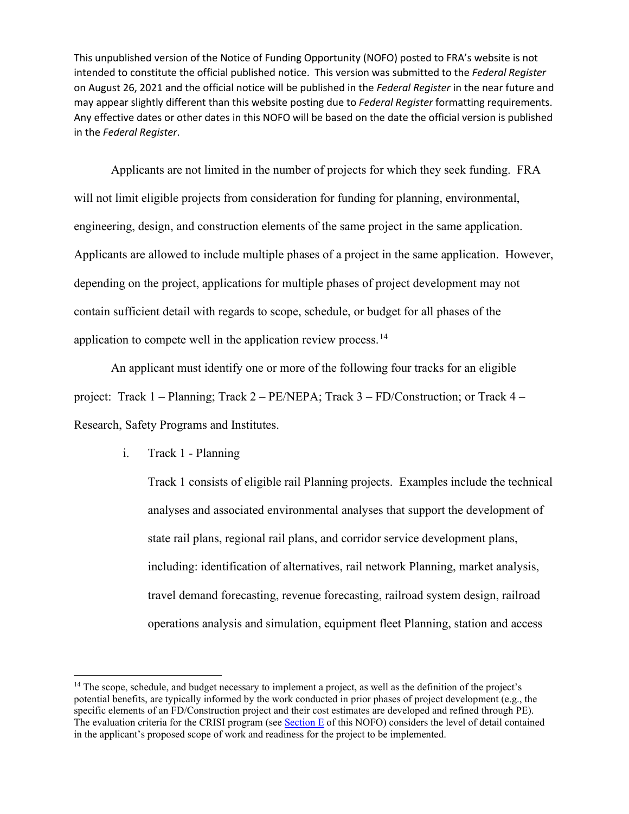Applicants are not limited in the number of projects for which they seek funding. FRA will not limit eligible projects from consideration for funding for planning, environmental, engineering, design, and construction elements of the same project in the same application. Applicants are allowed to include multiple phases of a project in the same application. However, depending on the project, applications for multiple phases of project development may not contain sufficient detail with regards to scope, schedule, or budget for all phases of the application to compete well in the application review process.[14](#page-22-1) 

 An applicant must identify one or more of the following four tracks for an eligible project: Track 1 – Planning; Track 2 – PE/NEPA; Track 3 – FD/Construction; or Track 4 – Research, Safety Programs and Institutes.

<span id="page-22-0"></span>i. Track 1 - Planning

Track 1 consists of eligible rail Planning projects. Examples include the technical analyses and associated environmental analyses that support the development of state rail plans, regional rail plans, and corridor service development plans, including: identification of alternatives, rail network Planning, market analysis, travel demand forecasting, revenue forecasting, railroad system design, railroad operations analysis and simulation, equipment fleet Planning, station and access

<span id="page-22-1"></span><sup>&</sup>lt;sup>14</sup> The scope, schedule, and budget necessary to implement a project, as well as the definition of the project's potential benefits, are typically informed by the work conducted in prior phases of project development (e.g., the specific elements of an FD/Construction project and their cost estimates are developed and refined through PE). The evaluation criteria for the CRISI program (see  $Section E$  of this NOFO) considers the level of detail contained</u> in the applicant's proposed scope of work and readiness for the project to be implemented.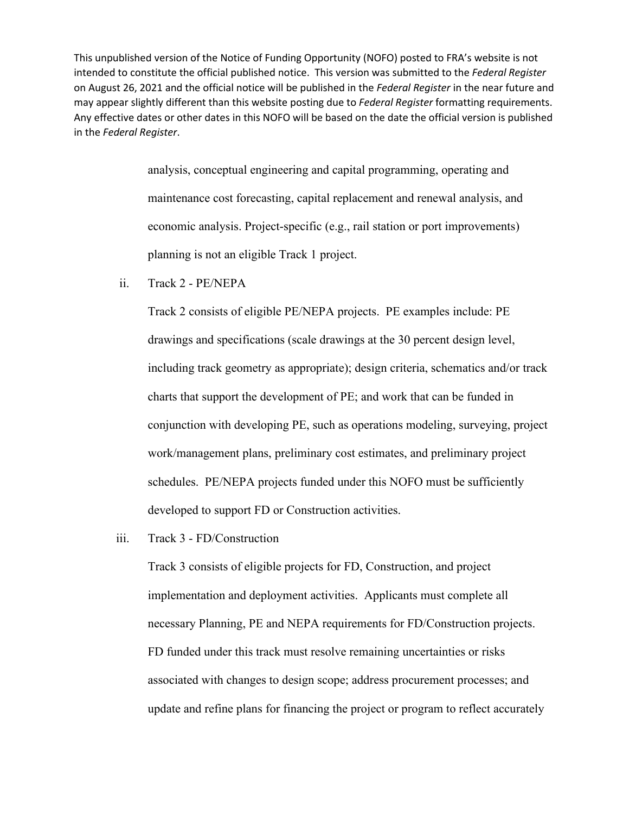> analysis, conceptual engineering and capital programming, operating and maintenance cost forecasting, capital replacement and renewal analysis, and economic analysis. Project-specific (e.g., rail station or port improvements) planning is not an eligible Track 1 project.

ii. Track 2 - PE/NEPA

Track 2 consists of eligible PE/NEPA projects. PE examples include: PE drawings and specifications (scale drawings at the 30 percent design level, including track geometry as appropriate); design criteria, schematics and/or track charts that support the development of PE; and work that can be funded in conjunction with developing PE, such as operations modeling, surveying, project work/management plans, preliminary cost estimates, and preliminary project schedules. PE/NEPA projects funded under this NOFO must be sufficiently developed to support FD or Construction activities.

iii. Track 3 - FD/Construction

Track 3 consists of eligible projects for FD, Construction, and project implementation and deployment activities. Applicants must complete all necessary Planning, PE and NEPA requirements for FD/Construction projects. FD funded under this track must resolve remaining uncertainties or risks associated with changes to design scope; address procurement processes; and update and refine plans for financing the project or program to reflect accurately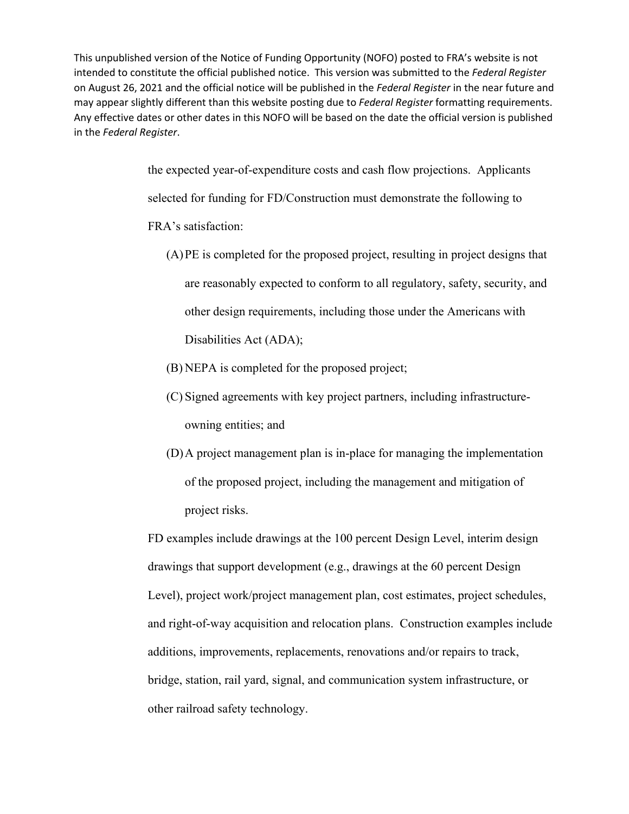> the expected year-of-expenditure costs and cash flow projections. Applicants selected for funding for FD/Construction must demonstrate the following to FRA's satisfaction:

- (A)PE is completed for the proposed project, resulting in project designs that are reasonably expected to conform to all regulatory, safety, security, and other design requirements, including those under the Americans with Disabilities Act (ADA);
- (B) NEPA is completed for the proposed project;
- (C) Signed agreements with key project partners, including infrastructureowning entities; and
- (D)A project management plan is in-place for managing the implementation of the proposed project, including the management and mitigation of project risks.

FD examples include drawings at the 100 percent Design Level, interim design drawings that support development (e.g., drawings at the 60 percent Design Level), project work/project management plan, cost estimates, project schedules, and right-of-way acquisition and relocation plans. Construction examples include additions, improvements, replacements, renovations and/or repairs to track, bridge, station, rail yard, signal, and communication system infrastructure, or other railroad safety technology.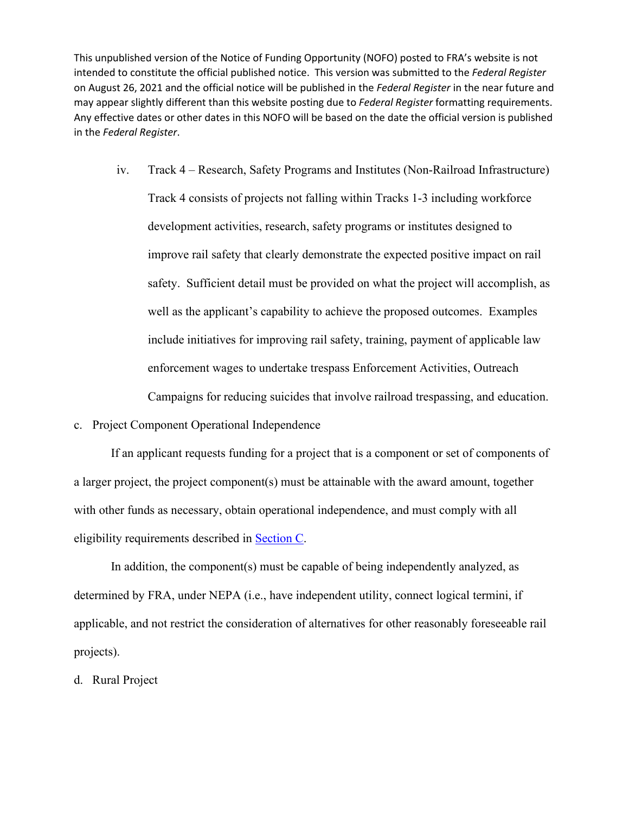- iv. Track 4 Research, Safety Programs and Institutes (Non-Railroad Infrastructure) Track 4 consists of projects not falling within Tracks 1-3 including workforce development activities, research, safety programs or institutes designed to improve rail safety that clearly demonstrate the expected positive impact on rail safety. Sufficient detail must be provided on what the project will accomplish, as well as the applicant's capability to achieve the proposed outcomes. Examples include initiatives for improving rail safety, training, payment of applicable law enforcement wages to undertake trespass Enforcement Activities, Outreach Campaigns for reducing suicides that involve railroad trespassing, and education.
- c. Project Component Operational Independence

 If an applicant requests funding for a project that is a component or set of components of a larger project, the project component(s) must be attainable with the award amount, together with other funds as necessary, obtain operational independence, and must comply with all eligibility requirements described in Section C.

 In addition, the component(s) must be capable of being independently analyzed, as determined by FRA, under NEPA (i.e., have independent utility, connect logical termini, if applicable, and not restrict the consideration of alternatives for other reasonably foreseeable rail projects).

d. Rural Project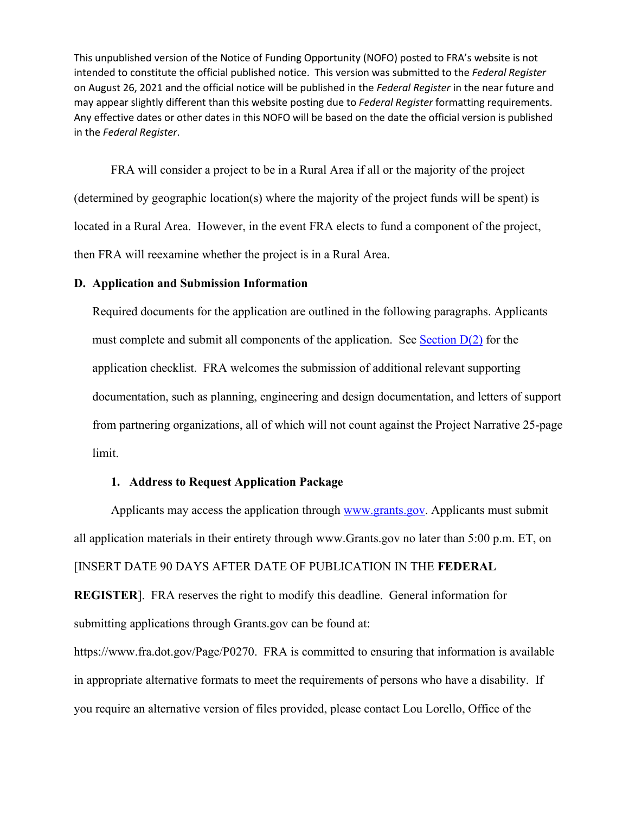FRA will consider a project to be in a Rural Area if all or the majority of the project (determined by geographic location(s) where the majority of the project funds will be spent) is located in a Rural Area. However, in the event FRA elects to fund a component of the project, then FRA will reexamine whether the project is in a Rural Area.

#### **D. Application and Submission Information**

Required documents for the application are outlined in the following paragraphs. Applicants must complete and submit all components of the application. See Section  $D(2)$  for the application checklist. FRA welcomes the submission of additional relevant supporting documentation, such as planning, engineering and design documentation, and letters of support from partnering organizations, all of which will not count against the Project Narrative 25-page limit.

## **1. Address to Request Application Package**

Applicants may access the application through [www.grants.gov.](http://www.grants.gov/) Applicants must submit all application materials in their entirety through [www.Grants.gov](http://www.grants.gov/) no later than 5:00 p.m. ET, on [INSERT DATE 90 DAYS AFTER DATE OF PUBLICATION IN THE **FEDERAL** 

**REGISTER**]. FRA reserves the right to modify this deadline. General information for submitting applications through Grants.gov can be found at:

[https://www.fra.dot.gov/Page/P0270.](https://www.fra.dot.gov/Page/P0270) FRA is committed to ensuring that information is available in appropriate alternative formats to meet the requirements of persons who have a disability. If you require an alternative version of files provided, please contact Lou Lorello, Office of the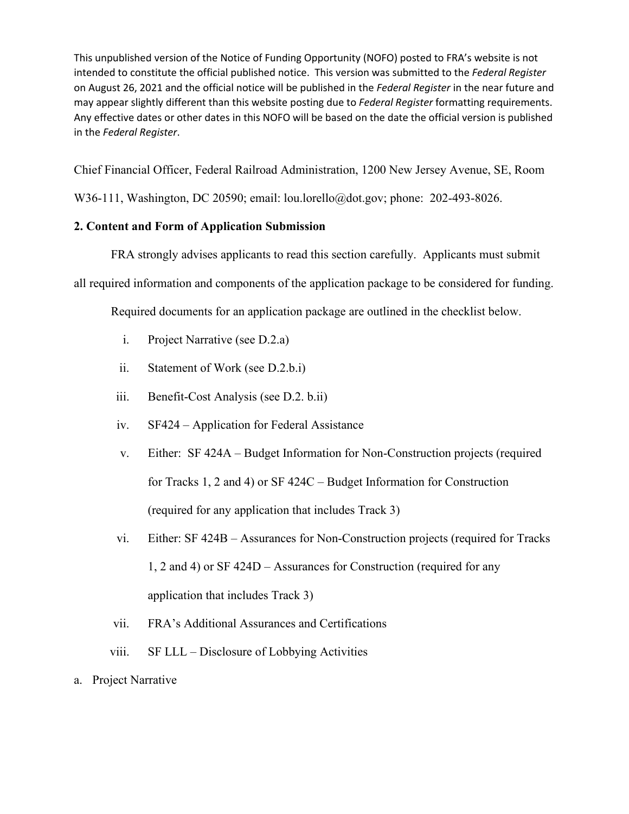Chief Financial Officer, Federal Railroad Administration, 1200 New Jersey Avenue, SE, Room

W36-111, Washington, DC 20590; email: lou.lorello@dot.gov; phone: 202-493-8026.

# <span id="page-27-0"></span>**2. Content and Form of Application Submission**

FRA strongly advises applicants to read this section carefully. Applicants must submit

all required information and components of the application package to be considered for funding.

Required documents for an application package are outlined in the checklist below.

- i. Project Narrative (see D.2.a)
- ii. Statement of Work (see D.2.b.i)
- iii. Benefit-Cost Analysis (see D.2. b.ii)
- iv. SF424 Application for Federal Assistance
- v. Either: SF 424A Budget Information for Non-Construction projects (required for Tracks 1, 2 and 4) or SF 424C – Budget Information for Construction (required for any application that includes Track 3)
- vi. Either: SF 424B Assurances for Non-Construction projects (required for Tracks 1, 2 and 4) or SF 424D – Assurances for Construction (required for any application that includes Track 3)
- vii. FRA's Additional Assurances and Certifications
- viii. SF LLL Disclosure of Lobbying Activities
- a. Project Narrative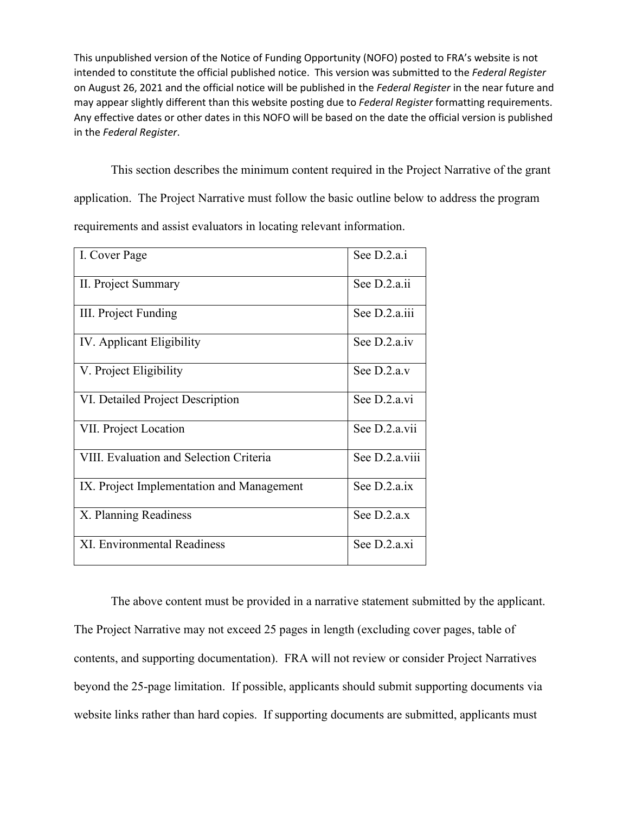This section describes the minimum content required in the Project Narrative of the grant application. The Project Narrative must follow the basic outline below to address the program requirements and assist evaluators in locating relevant information.

| I. Cover Page                             | See D.2.a.i    |
|-------------------------------------------|----------------|
| II. Project Summary                       | See D.2.a.ii   |
| III. Project Funding                      | See D.2.a.iii  |
| IV. Applicant Eligibility                 | See D.2.a.iv   |
| V. Project Eligibility                    | See $D.2.a.v$  |
| VI. Detailed Project Description          | See D.2.a.vi   |
| VII. Project Location                     | See D.2.a.vii  |
| VIII. Evaluation and Selection Criteria   | See D.2.a.viii |
| IX. Project Implementation and Management | See D.2.a.ix   |
| X. Planning Readiness                     | See $D.2.a.x$  |
| <b>XI. Environmental Readiness</b>        | See D.2.a.xi   |

 The above content must be provided in a narrative statement submitted by the applicant. The Project Narrative may not exceed 25 pages in length (excluding cover pages, table of contents, and supporting documentation). FRA will not review or consider Project Narratives beyond the 25-page limitation. If possible, applicants should submit supporting documents via website links rather than hard copies. If supporting documents are submitted, applicants must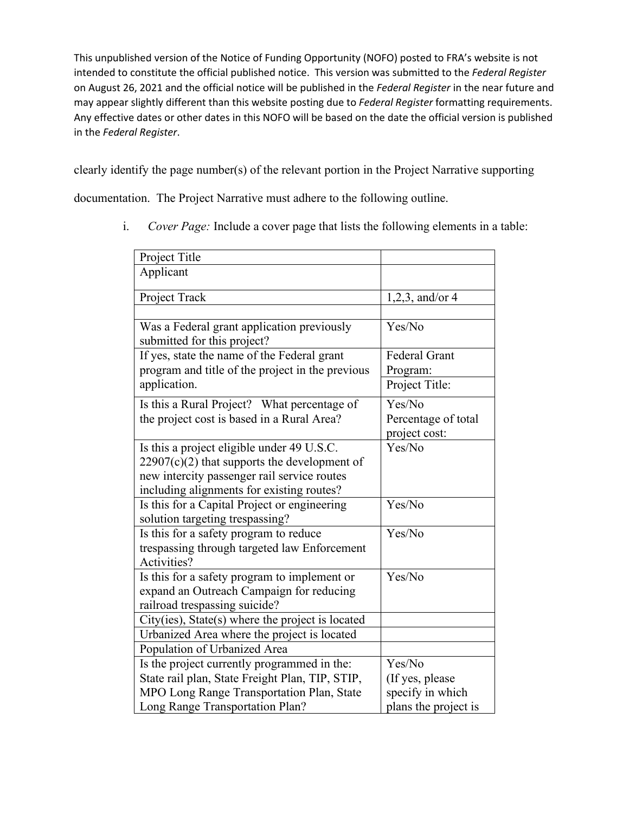clearly identify the page number(s) of the relevant portion in the Project Narrative supporting

documentation. The Project Narrative must adhere to the following outline.

- Project Title Applicant Project Track  $1,2,3$ , and/or 4 Was a Federal grant application previously submitted for this project? Yes/No If yes, state the name of the Federal grant program and title of the project in the previous application. Federal Grant Program: Project Title: Is this a Rural Project? What percentage of the project cost is based in a Rural Area? Yes/No Percentage of total project cost: Is this a project eligible under 49 U.S.C.  $22907(c)(2)$  that supports the development of new intercity passenger rail service routes including alignments for existing routes? Yes/No Is this for a Capital Project or engineering solution targeting trespassing? Yes/No Is this for a safety program to reduce trespassing through targeted law Enforcement Activities? Yes/No Is this for a safety program to implement or expand an Outreach Campaign for reducing railroad trespassing suicide? Yes/No City(ies), State(s) where the project is located Urbanized Area where the project is located Population of Urbanized Area Is the project currently programmed in the: State rail plan, State Freight Plan, TIP, STIP, MPO Long Range Transportation Plan, State Long Range Transportation Plan? Yes/No (If yes, please specify in which plans the project is
- i. *Cover Page:* Include a cover page that lists the following elements in a table: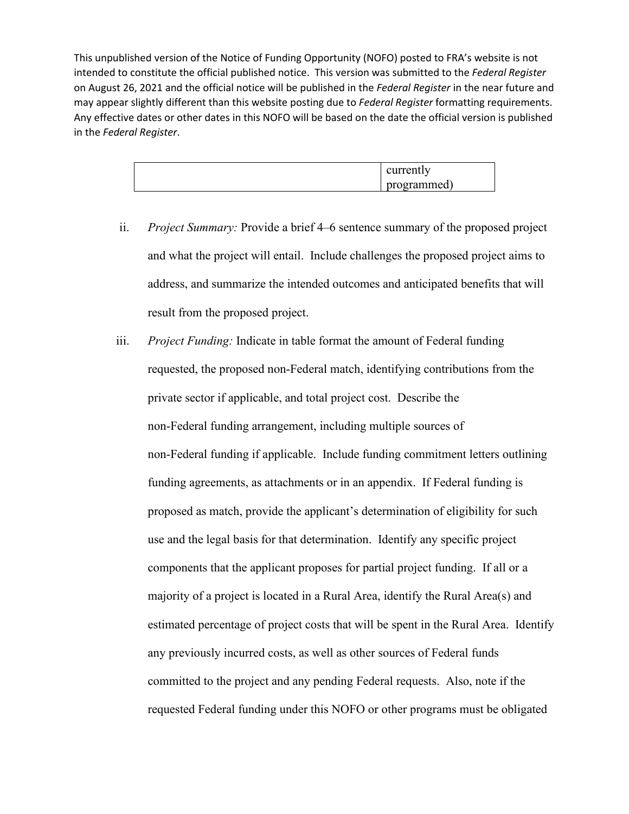| currently   |
|-------------|
| programmed) |

- ii. *Project Summary:* Provide a brief 4–6 sentence summary of the proposed project and what the project will entail. Include challenges the proposed project aims to address, and summarize the intended outcomes and anticipated benefits that will result from the proposed project.
- <span id="page-30-0"></span>iii. *Project Funding:* Indicate in table format the amount of Federal funding requested, the proposed non-Federal match, identifying contributions from the private sector if applicable, and total project cost. Describe the non-Federal funding arrangement, including multiple sources of non-Federal funding if applicable. Include funding commitment letters outlining funding agreements, as attachments or in an appendix. If Federal funding is proposed as match, provide the applicant's determination of eligibility for such use and the legal basis for that determination. Identify any specific project components that the applicant proposes for partial project funding. If all or a majority of a project is located in a Rural Area, identify the Rural Area(s) and estimated percentage of project costs that will be spent in the Rural Area. Identify any previously incurred costs, as well as other sources of Federal funds committed to the project and any pending Federal requests. Also, note if the requested Federal funding under this NOFO or other programs must be obligated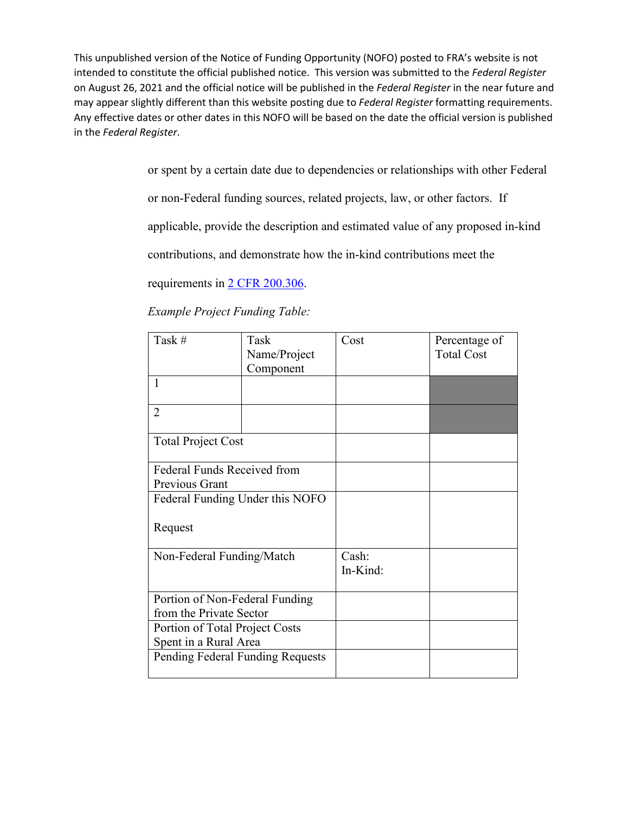> or spent by a certain date due to dependencies or relationships with other Federal or non-Federal funding sources, related projects, law, or other factors. If applicable, provide the description and estimated value of any proposed in-kind contributions, and demonstrate how the in-kind contributions meet the requirements in [2 CFR 200.306.](https://www.govinfo.gov/content/pkg/CFR-2018-title2-vol1/xml/CFR-2018-title2-vol1-sec200-306.xml)

| Task #                           | Task         | Cost     | Percentage of     |
|----------------------------------|--------------|----------|-------------------|
|                                  | Name/Project |          | <b>Total Cost</b> |
|                                  | Component    |          |                   |
| $\mathbf{1}$                     |              |          |                   |
|                                  |              |          |                   |
| $\overline{2}$                   |              |          |                   |
|                                  |              |          |                   |
| <b>Total Project Cost</b>        |              |          |                   |
|                                  |              |          |                   |
| Federal Funds Received from      |              |          |                   |
| Previous Grant                   |              |          |                   |
| Federal Funding Under this NOFO  |              |          |                   |
|                                  |              |          |                   |
| Request                          |              |          |                   |
|                                  |              |          |                   |
| Non-Federal Funding/Match        |              | Cash:    |                   |
|                                  |              | In-Kind: |                   |
|                                  |              |          |                   |
| Portion of Non-Federal Funding   |              |          |                   |
| from the Private Sector          |              |          |                   |
| Portion of Total Project Costs   |              |          |                   |
| Spent in a Rural Area            |              |          |                   |
| Pending Federal Funding Requests |              |          |                   |
|                                  |              |          |                   |

*Example Project Funding Table:*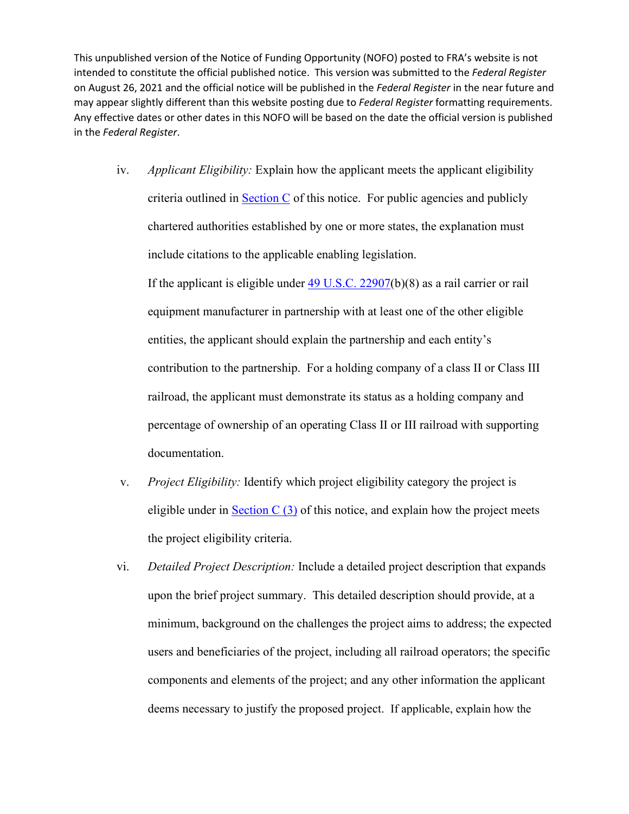<span id="page-32-0"></span>iv. *Applicant Eligibility:* Explain how the applicant meets the applicant eligibility criteria outlined in **Section C** of this notice. For public agencies and publicly chartered authorities established by one or more states, the explanation must include citations to the applicable enabling legislation.

If the applicant is eligible under  $\frac{49 \text{ U.S.C. } 22907(b)(8)}{80 \text{ as a rail carrier or rail}}$ equipment manufacturer in partnership with at least one of the other eligible entities, the applicant should explain the partnership and each entity's contribution to the partnership. For a holding company of a class II or Class III railroad, the applicant must demonstrate its status as a holding company and percentage of ownership of an operating Class II or III railroad with supporting documentation.

- v. *Project Eligibility:* Identify which project eligibility category the project is eligible under in Section  $C(3)$  of this notice, and explain how the project meets the project eligibility criteria.
- vi. *Detailed Project Description:* Include a detailed project description that expands upon the brief project summary. This detailed description should provide, at a minimum, background on the challenges the project aims to address; the expected users and beneficiaries of the project, including all railroad operators; the specific components and elements of the project; and any other information the applicant deems necessary to justify the proposed project. If applicable, explain how the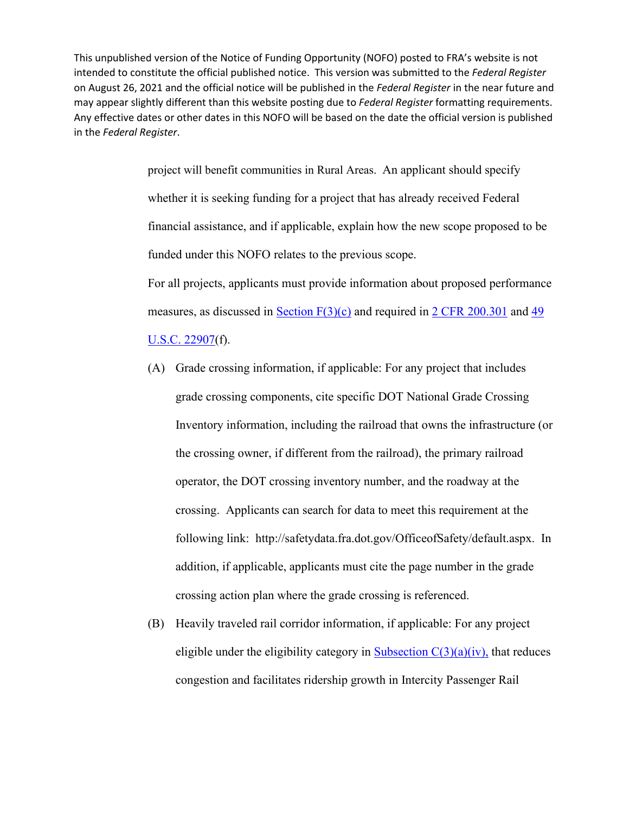> project will benefit communities in Rural Areas. An applicant should specify whether it is seeking funding for a project that has already received Federal financial assistance, and if applicable, explain how the new scope proposed to be funded under this NOFO relates to the previous scope. For all projects, applicants must provide information about proposed performance measures, as discussed in [Section F\(3\)\(c\)](#page-57-0) and required in [2 CFR 200.301](https://www.govinfo.gov/content/pkg/CFR-2014-title2-vol1/xml/CFR-2014-title2-vol1-sec200-301.xml) and [49](http://uscode.house.gov/view.xhtml?req=(title:49%20section:22907%20edition:prelim)%20OR%20(granuleid:USC-prelim-title49-section22907)&f=treesort&edition=prelim&num=0&jumpTo=true)

[U.S.C. 22907\(](http://uscode.house.gov/view.xhtml?req=(title:49%20section:22907%20edition:prelim)%20OR%20(granuleid:USC-prelim-title49-section22907)&f=treesort&edition=prelim&num=0&jumpTo=true)f).

- (A) Grade crossing information, if applicable: For any project that includes grade crossing components, cite specific DOT National Grade Crossing Inventory information, including the railroad that owns the infrastructure (or the crossing owner, if different from the railroad), the primary railroad operator, the DOT crossing inventory number, and the roadway at the crossing. Applicants can search for data to meet this requirement at the following link: [http://safetydata.fra.dot.gov/OfficeofSafety/default.aspx.](http://safetydata.fra.dot.gov/OfficeofSafety/default.aspx) In addition, if applicable, applicants must cite the page number in the grade crossing action plan where the grade crossing is referenced.
- (B) Heavily traveled rail corridor information, if applicable: For any project eligible under the eligibility category in Subsection  $C(3)(a)(iv)$ , that reduces congestion and facilitates ridership growth in Intercity Passenger Rail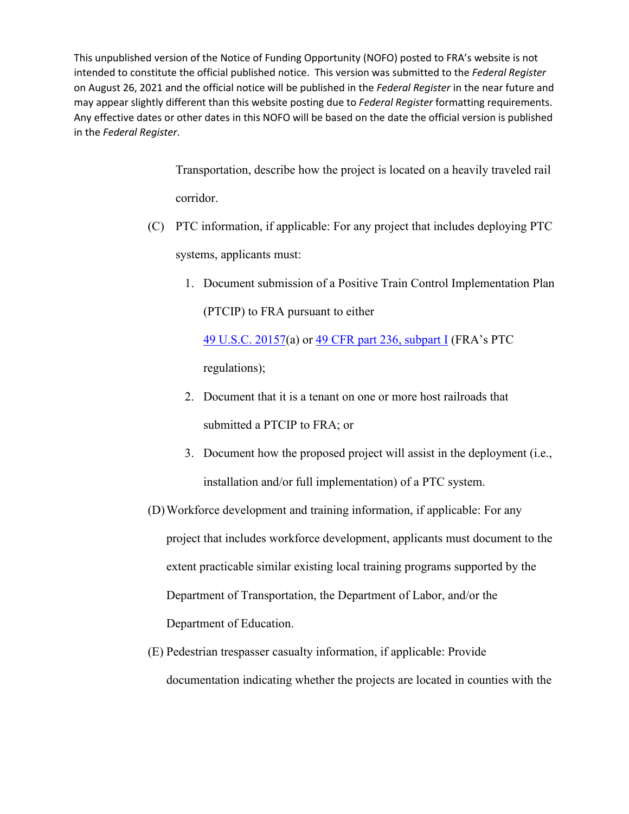> Transportation, describe how the project is located on a heavily traveled rail corridor.

(C) PTC information, if applicable: For any project that includes deploying PTC

systems, applicants must:

1. Document submission of a Positive Train Control Implementation Plan (PTCIP) to FRA pursuant to either

[49 U.S.C. 20157\(](https://www.govinfo.gov/content/pkg/USCODE-2008-title49/html/USCODE-2008-title49-subtitleV-partA-chap201-subchapII-sec20157.htm)a) or [49 CFR part 236, subpart I](https://www.ecfr.gov/cgi-bin/text-idx?c=ecfr&sid=e6d522db02b2b7be91220df2f0f09de7&rgn=div5&view=text&node=49:4.1.1.1.30&idno=49#sp49.4.236.i) (FRA's PTC regulations);

- 2. Document that it is a tenant on one or more host railroads that submitted a PTCIP to FRA; or
- 3. Document how the proposed project will assist in the deployment (i.e., installation and/or full implementation) of a PTC system.
- (D)Workforce development and training information, if applicable: For any project that includes workforce development, applicants must document to the extent practicable similar existing local training programs supported by the Department of Transportation, the Department of Labor, and/or the Department of Education.
- (E) Pedestrian trespasser casualty information, if applicable: Provide documentation indicating whether the projects are located in counties with the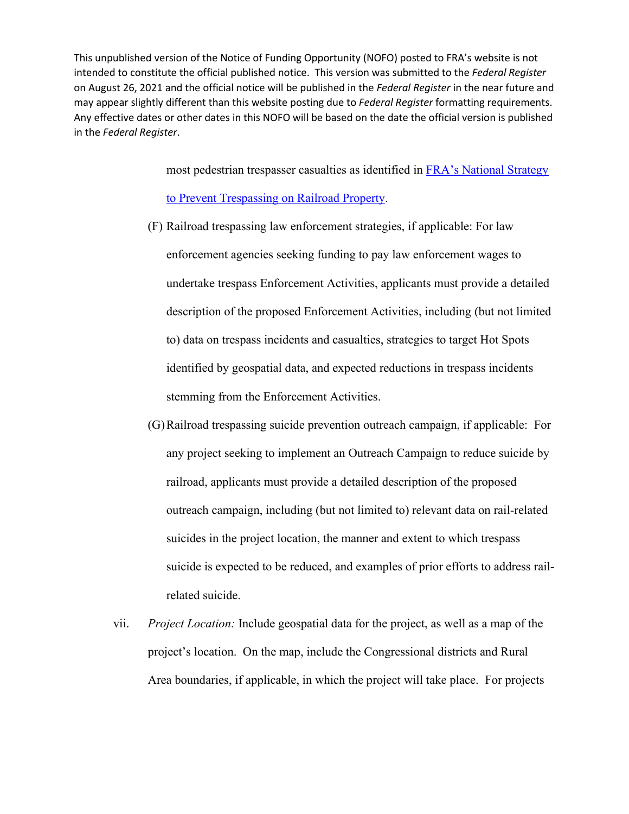most pedestrian trespasser casualties as identified in [FRA's National Strategy](https://railroads.dot.gov/elibrary/national-strategy-prevent-trespassing-railroad-property) 

#### [to Prevent Trespassing on Railroad Property.](https://railroads.dot.gov/elibrary/national-strategy-prevent-trespassing-railroad-property)

- (F) Railroad trespassing law enforcement strategies, if applicable: For law enforcement agencies seeking funding to pay law enforcement wages to undertake trespass Enforcement Activities, applicants must provide a detailed description of the proposed Enforcement Activities, including (but not limited to) data on trespass incidents and casualties, strategies to target Hot Spots identified by geospatial data, and expected reductions in trespass incidents stemming from the Enforcement Activities.
- (G)Railroad trespassing suicide prevention outreach campaign, if applicable: For any project seeking to implement an Outreach Campaign to reduce suicide by railroad, applicants must provide a detailed description of the proposed outreach campaign, including (but not limited to) relevant data on rail-related suicides in the project location, the manner and extent to which trespass suicide is expected to be reduced, and examples of prior efforts to address railrelated suicide.
- vii. *Project Location:* Include geospatial data for the project, as well as a map of the project's location. On the map, include the Congressional districts and Rural Area boundaries, if applicable, in which the project will take place. For projects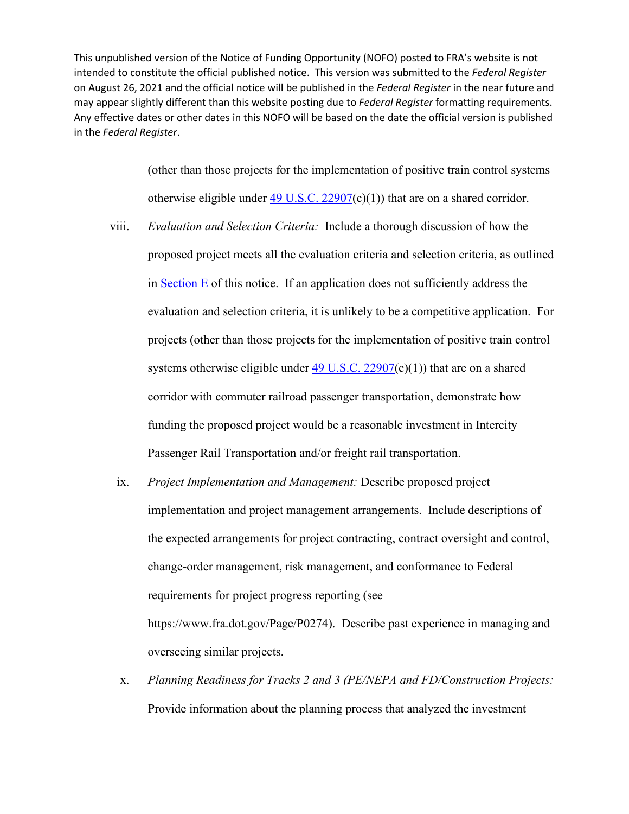> (other than those projects for the implementation of positive train control systems otherwise eligible under  $49$  U.S.C.  $22907(c)(1)$  that are on a shared corridor.

- viii. *Evaluation and Selection Criteria:* Include a thorough discussion of how the proposed project meets all the evaluation criteria and selection criteria, as outlined in Section E of this notice. If an application does not sufficiently address the evaluation and selection criteria, it is unlikely to be a competitive application. For projects (other than those projects for the implementation of positive train control systems otherwise eligible under  $49$  U.S.C.  $22907(c)(1)$  that are on a shared corridor with commuter railroad passenger transportation, demonstrate how funding the proposed project would be a reasonable investment in Intercity Passenger Rail Transportation and/or freight rail transportation.
- ix. *Project Implementation and Management:* Describe proposed project implementation and project management arrangements. Include descriptions of the expected arrangements for project contracting, contract oversight and control, change-order management, risk management, and conformance to Federal requirements for project progress reporting (see [https://www.fra.dot.gov/Page/P0274\)](https://www.fra.dot.gov/Page/P0274). Describe past experience in managing and overseeing similar projects.
- x. *Planning Readiness for Tracks 2 and 3 (PE/NEPA and FD/Construction Projects:* Provide information about the planning process that analyzed the investment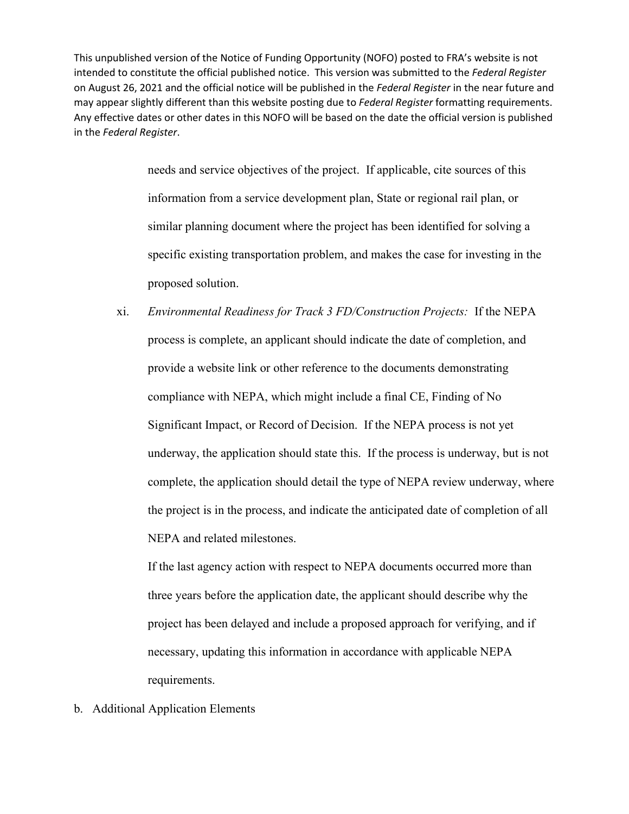> needs and service objectives of the project. If applicable, cite sources of this information from a service development plan, State or regional rail plan, or similar planning document where the project has been identified for solving a specific existing transportation problem, and makes the case for investing in the proposed solution.

xi. *Environmental Readiness for Track 3 FD/Construction Projects:* If the NEPA process is complete, an applicant should indicate the date of completion, and provide a website link or other reference to the documents demonstrating compliance with NEPA, which might include a final CE, Finding of No Significant Impact, or Record of Decision. If the NEPA process is not yet underway, the application should state this. If the process is underway, but is not complete, the application should detail the type of NEPA review underway, where the project is in the process, and indicate the anticipated date of completion of all NEPA and related milestones.

If the last agency action with respect to NEPA documents occurred more than three years before the application date, the applicant should describe why the project has been delayed and include a proposed approach for verifying, and if necessary, updating this information in accordance with applicable NEPA requirements.

b. Additional Application Elements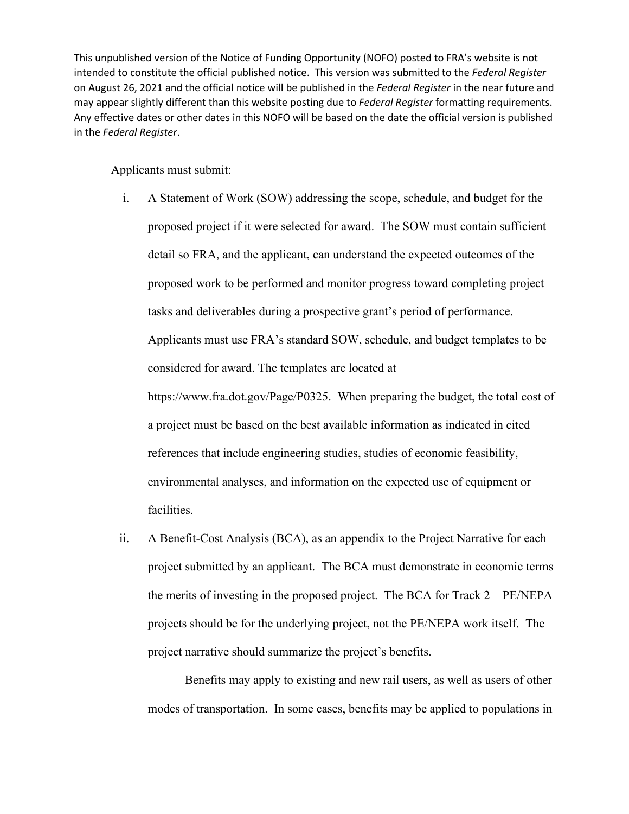Applicants must submit:

- i. A Statement of Work (SOW) addressing the scope, schedule, and budget for the proposed project if it were selected for award. The SOW must contain sufficient detail so FRA, and the applicant, can understand the expected outcomes of the proposed work to be performed and monitor progress toward completing project tasks and deliverables during a prospective grant's period of performance. Applicants must use FRA's standard SOW, schedule, and budget templates to be considered for award. The templates are located at [https://www.fra.dot.gov/Page/P0325.](https://www.fra.dot.gov/Page/P0325) When preparing the budget, the total cost of a project must be based on the best available information as indicated in cited references that include engineering studies, studies of economic feasibility, environmental analyses, and information on the expected use of equipment or facilities.
- <span id="page-38-0"></span>ii. A Benefit-Cost Analysis (BCA), as an appendix to the Project Narrative for each project submitted by an applicant. The BCA must demonstrate in economic terms the merits of investing in the proposed project. The BCA for Track 2 – PE/NEPA projects should be for the underlying project, not the PE/NEPA work itself. The project narrative should summarize the project's benefits.

 Benefits may apply to existing and new rail users, as well as users of other modes of transportation. In some cases, benefits may be applied to populations in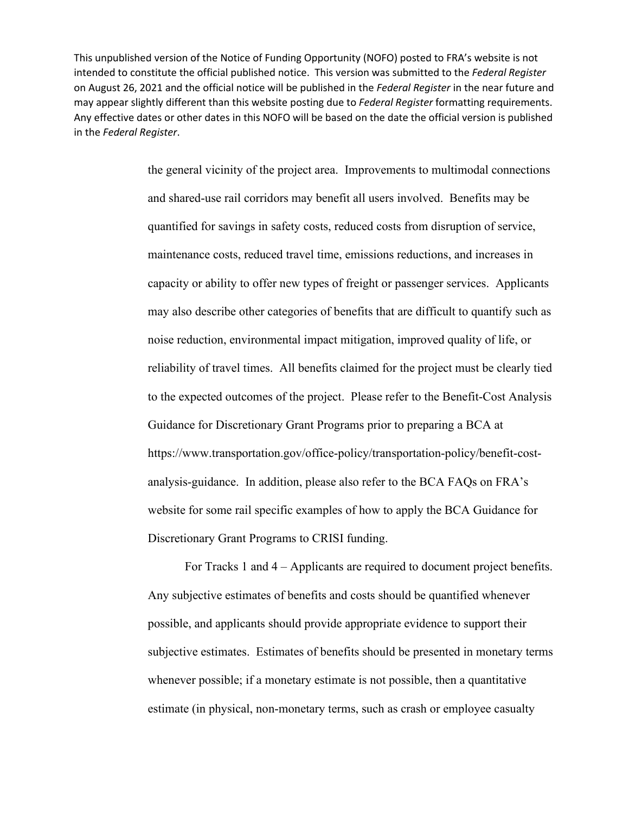> the general vicinity of the project area. Improvements to multimodal connections and shared-use rail corridors may benefit all users involved. Benefits may be quantified for savings in safety costs, reduced costs from disruption of service, maintenance costs, reduced travel time, emissions reductions, and increases in capacity or ability to offer new types of freight or passenger services. Applicants may also describe other categories of benefits that are difficult to quantify such as noise reduction, environmental impact mitigation, improved quality of life, or reliability of travel times. All benefits claimed for the project must be clearly tied to the expected outcomes of the project. Please refer to the Benefit-Cost Analysis Guidance for Discretionary Grant Programs prior to preparing a BCA at [https://www.transportation.gov/office-policy/transportation-policy/benefit-cost](https://www.transportation.gov/office-policy/transportation-policy/benefit-cost-analysis-guidance)[analysis-guidance.](https://www.transportation.gov/office-policy/transportation-policy/benefit-cost-analysis-guidance) In addition, please also refer to the BCA FAQs on FRA's website for some rail specific examples of how to apply the BCA Guidance for Discretionary Grant Programs to CRISI funding.

> For Tracks 1 and 4 – Applicants are required to document project benefits. Any subjective estimates of benefits and costs should be quantified whenever possible, and applicants should provide appropriate evidence to support their subjective estimates. Estimates of benefits should be presented in monetary terms whenever possible; if a monetary estimate is not possible, then a quantitative estimate (in physical, non-monetary terms, such as crash or employee casualty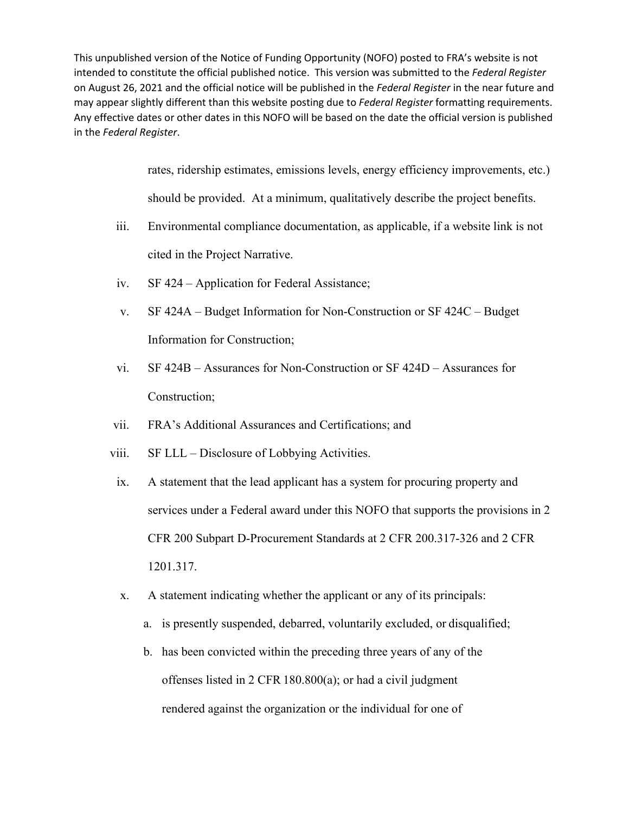> rates, ridership estimates, emissions levels, energy efficiency improvements, etc.) should be provided. At a minimum, qualitatively describe the project benefits.

- iii. Environmental compliance documentation, as applicable, if a website link is not cited in the Project Narrative.
- iv. SF 424 Application for Federal Assistance;
- v. SF 424A Budget Information for Non-Construction or SF 424C Budget Information for Construction;
- vi. SF 424B Assurances for Non-Construction or SF 424D Assurances for Construction;
- vii. FRA's Additional Assurances and Certifications; and
- viii. SF LLL Disclosure of Lobbying Activities.
- ix. A statement that the lead applicant has a system for procuring property and services under a Federal award under this NOFO that supports the provisions in 2 CFR 200 Subpart D-Procurement Standards at 2 CFR 200.317-326 and 2 CFR 1201.317.
- x. A statement indicating whether the applicant or any of its principals:
	- a. is presently suspended, debarred, voluntarily excluded, or disqualified;
	- b. has been convicted within the preceding three years of any of the offenses listed in 2 CFR 180.800(a); or had a civil judgment rendered against the organization or the individual for one of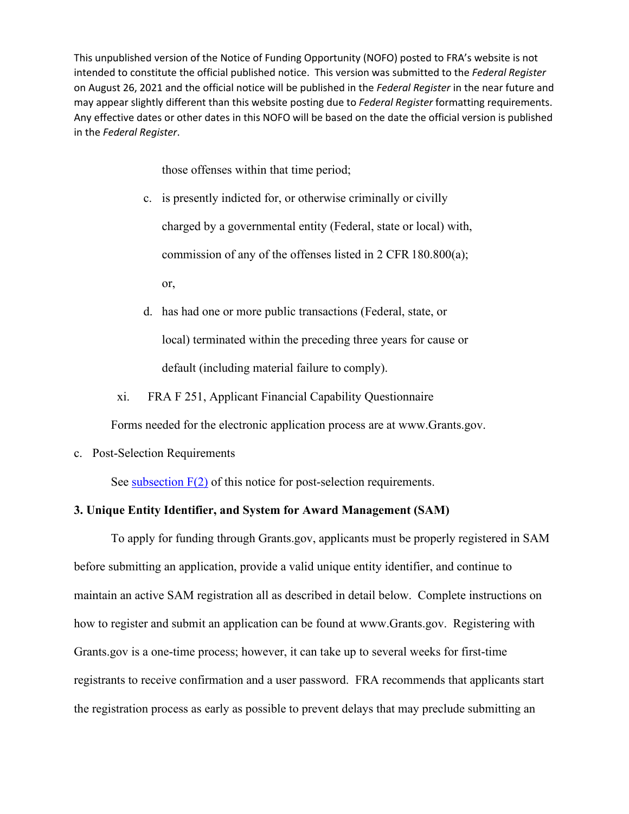those offenses within that time period;

c. is presently indicted for, or otherwise criminally or civilly charged by a governmental entity (Federal, state or local) with, commission of any of the offenses listed in 2 CFR 180.800(a); or,

d. has had one or more public transactions (Federal, state, or local) terminated within the preceding three years for cause or default (including material failure to comply).

xi. FRA F 251, Applicant Financial Capability Questionnaire

Forms needed for the electronic application process are at [www.Grants.gov.](http://www.grants.gov/)

c. Post-Selection Requirements

See subsection  $F(2)$  of this notice for post-selection requirements.

## **3. Unique Entity Identifier, and System for Award Management (SAM)**

 To apply for funding through Grants.gov, applicants must be properly registered in SAM before submitting an application, provide a valid unique entity identifier, and continue to maintain an active SAM registration all as described in detail below. Complete instructions on how to register and submit an application can be found at [www.Grants.gov.](http://www.grants.gov/) Registering with Grants.gov is a one-time process; however, it can take up to several weeks for first-time registrants to receive confirmation and a user password. FRA recommends that applicants start the registration process as early as possible to prevent delays that may preclude submitting an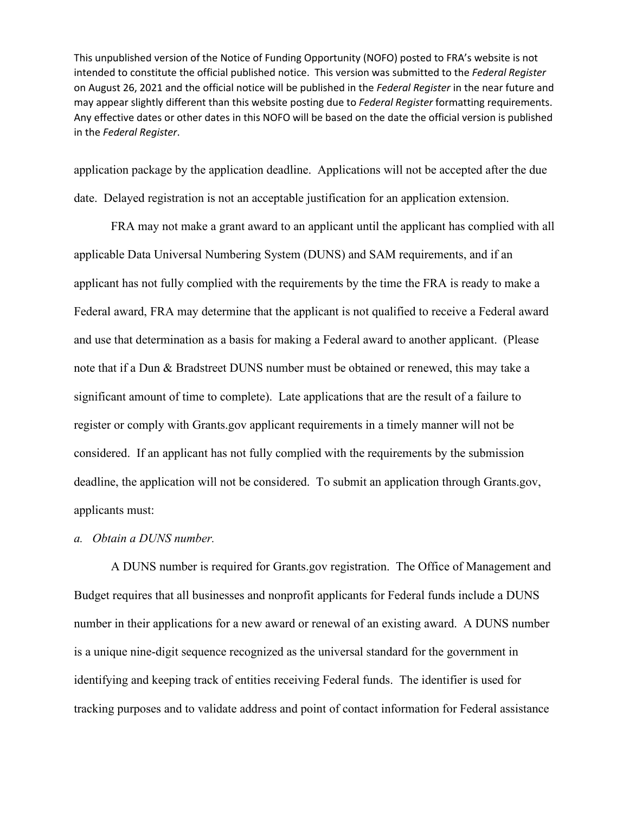application package by the application deadline. Applications will not be accepted after the due date. Delayed registration is not an acceptable justification for an application extension.

FRA may not make a grant award to an applicant until the applicant has complied with all applicable Data Universal Numbering System (DUNS) and SAM requirements, and if an applicant has not fully complied with the requirements by the time the FRA is ready to make a Federal award, FRA may determine that the applicant is not qualified to receive a Federal award and use that determination as a basis for making a Federal award to another applicant. (Please note that if a Dun & Bradstreet DUNS number must be obtained or renewed, this may take a significant amount of time to complete). Late applications that are the result of a failure to register or comply with Grants.gov applicant requirements in a timely manner will not be considered. If an applicant has not fully complied with the requirements by the submission deadline, the application will not be considered. To submit an application through Grants.gov, applicants must:

## *a. Obtain a DUNS number.*

A DUNS number is required for Grants.gov registration. The Office of Management and Budget requires that all businesses and nonprofit applicants for Federal funds include a DUNS number in their applications for a new award or renewal of an existing award. A DUNS number is a unique nine-digit sequence recognized as the universal standard for the government in identifying and keeping track of entities receiving Federal funds. The identifier is used for tracking purposes and to validate address and point of contact information for Federal assistance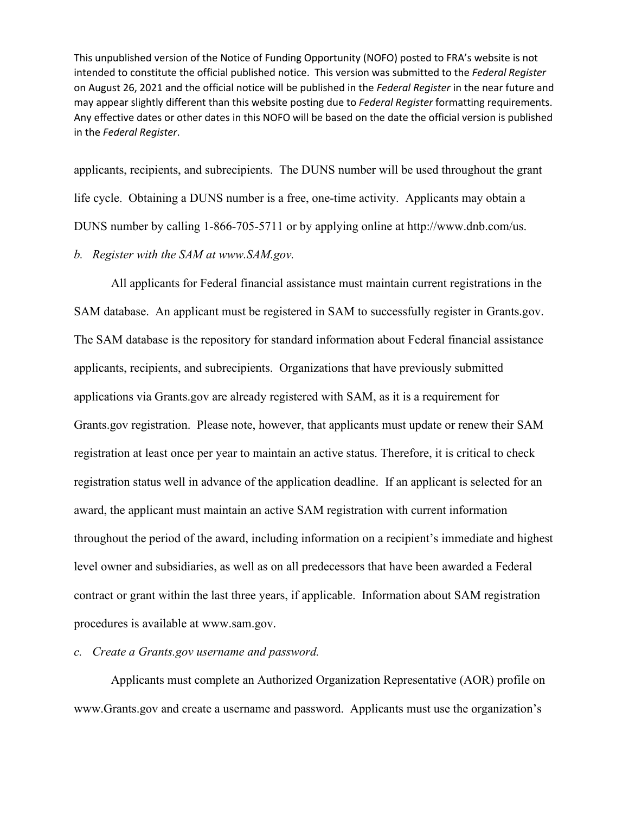applicants, recipients, and subrecipients. The DUNS number will be used throughout the grant life cycle. Obtaining a DUNS number is a free, one-time activity. Applicants may obtain a DUNS number by calling 1-866-705-5711 or by applying online at [http://www.dnb.com/us.](http://www.dnb.com/us)

*b. Register with the SAM at [www.SAM.gov.](http://www.sam.gov/)* 

All applicants for Federal financial assistance must maintain current registrations in the SAM database. An applicant must be registered in SAM to successfully register in Grants.gov. The SAM database is the repository for standard information about Federal financial assistance applicants, recipients, and subrecipients. Organizations that have previously submitted applications via Grants.gov are already registered with SAM, as it is a requirement for Grants.gov registration. Please note, however, that applicants must update or renew their SAM registration at least once per year to maintain an active status. Therefore, it is critical to check registration status well in advance of the application deadline. If an applicant is selected for an award, the applicant must maintain an active SAM registration with current information throughout the period of the award, including information on a recipient's immediate and highest level owner and subsidiaries, as well as on all predecessors that have been awarded a Federal contract or grant within the last three years, if applicable. Information about SAM registration procedures is available at [www.sam.gov.](http://www.sam.gov/)

# *c. Create a Grants.gov username and password.*

Applicants must complete an Authorized Organization Representative (AOR) profile on [www.Grants.gov](http://www.grants.gov/) and create a username and password. Applicants must use the organization's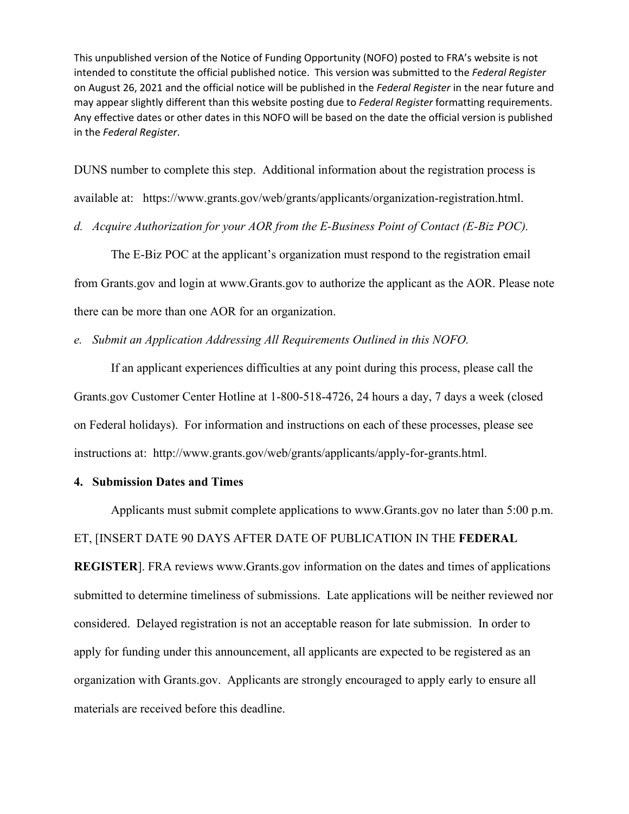DUNS number to complete this step. Additional information about the registration process is

available at: [https://www.grants.gov/web/grants/applicants/organization-registration.html.](https://www.grants.gov/web/grants/applicants/organization-registration.html)

*d. Acquire Authorization for your AOR from the E-Business Point of Contact (E-Biz POC).* 

The E-Biz POC at the applicant's organization must respond to the registration email from Grants.gov and login at [www.Grants.gov](http://www.grants.gov/) to authorize the applicant as the AOR. Please note there can be more than one AOR for an organization.

*e. Submit an Application Addressing All Requirements Outlined in this NOFO.* 

If an applicant experiences difficulties at any point during this process, please call the Grants.gov Customer Center Hotline at 1-800-518-4726, 24 hours a day, 7 days a week (closed on Federal holidays). For information and instructions on each of these processes, please see instructions at: [http://www.grants.gov/web/grants/applicants/apply-for-grants.html.](http://www.grants.gov/web/grants/applicants/apply-for-grants.html)

#### **4. Submission Dates and Times**

Applicants must submit complete applications to [www.Grants.gov](http://www.grants.gov/) no later than 5:00 p.m.

## ET, [INSERT DATE 90 DAYS AFTER DATE OF PUBLICATION IN THE **FEDERAL**

**REGISTER**]. FRA reviews [www.Grants.gov](http://www.grants.gov/) information on the dates and times of applications submitted to determine timeliness of submissions. Late applications will be neither reviewed nor considered. Delayed registration is not an acceptable reason for late submission. In order to apply for funding under this announcement, all applicants are expected to be registered as an organization with Grants.gov. Applicants are strongly encouraged to apply early to ensure all materials are received before this deadline.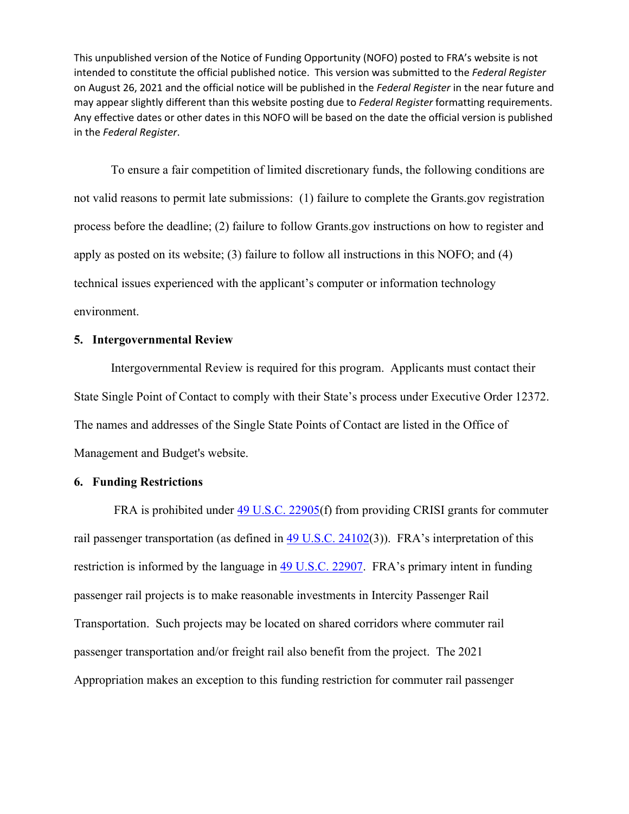To ensure a fair competition of limited discretionary funds, the following conditions are not valid reasons to permit late submissions: (1) failure to complete the Grants.gov registration process before the deadline; (2) failure to follow Grants.gov instructions on how to register and apply as posted on its website; (3) failure to follow all instructions in this NOFO; and (4) technical issues experienced with the applicant's computer or information technology environment.

## **5. Intergovernmental Review**

Intergovernmental Review is required for this program. Applicants must contact their State Single Point of Contact to comply with their State's process under Executive Order 12372. The names and addresses of the Single State Points of Contact are listed in the Office of Management and Budget's website.

## <span id="page-45-0"></span>**6. Funding Restrictions**

FRA is prohibited under [49 U.S.C. 22905\(](http://uscode.house.gov/view.xhtml?req=(title:49%20section:22905%20edition:prelim)%20OR%20(granuleid:USC-prelim-title49-section22905)&f=treesort&edition=prelim&num=0&jumpTo=true)f) from providing CRISI grants for commuter rail passenger transportation (as defined in [49 U.S.C. 24102\(](https://www.govinfo.gov/content/pkg/USCODE-2017-title49/html/USCODE-2017-title49-subtitleV-partC-chap241-sec24102.htm)3)). FRA's interpretation of this restriction is informed by the language in [49 U.S.C. 22907.](http://uscode.house.gov/view.xhtml?req=(title:49%20section:22907%20edition:prelim)%20OR%20(granuleid:USC-prelim-title49-section22907)&f=treesort&edition=prelim&num=0&jumpTo=true) FRA's primary intent in funding passenger rail projects is to make reasonable investments in Intercity Passenger Rail Transportation. Such projects may be located on shared corridors where commuter rail passenger transportation and/or freight rail also benefit from the project. The 2021 Appropriation makes an exception to this funding restriction for commuter rail passenger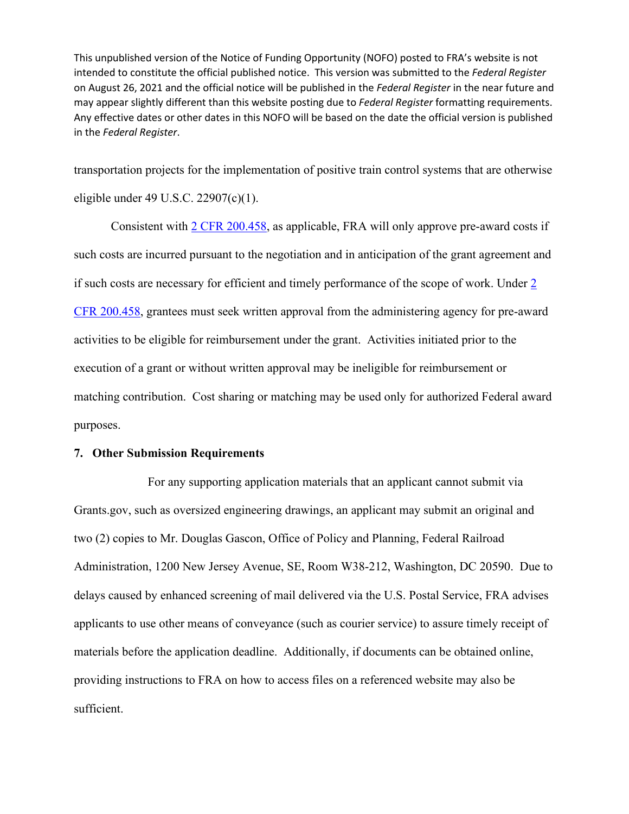transportation projects for the implementation of positive train control systems that are otherwise eligible under 49 U.S.C. 22907(c)(1).

Consistent with [2 CFR 200.458,](https://www.govinfo.gov/content/pkg/CFR-2018-title2-vol1/xml/CFR-2018-title2-vol1-sec200-458.xml) as applicable, FRA will only approve pre-award costs if such costs are incurred pursuant to the negotiation and in anticipation of the grant agreement and if such costs are necessary for efficient and timely performance of the scope of work. Under [2](https://www.govinfo.gov/content/pkg/CFR-2018-title2-vol1/xml/CFR-2018-title2-vol1-sec200-458.xml)  [CFR 200.458,](https://www.govinfo.gov/content/pkg/CFR-2018-title2-vol1/xml/CFR-2018-title2-vol1-sec200-458.xml) grantees must seek written approval from the administering agency for pre-award activities to be eligible for reimbursement under the grant. Activities initiated prior to the execution of a grant or without written approval may be ineligible for reimbursement or matching contribution. Cost sharing or matching may be used only for authorized Federal award purposes.

## **7. Other Submission Requirements**

 For any supporting application materials that an applicant cannot submit via Grants.gov, such as oversized engineering drawings, an applicant may submit an original and two (2) copies to Mr. Douglas Gascon, Office of Policy and Planning, Federal Railroad Administration, 1200 New Jersey Avenue, SE, Room W38-212, Washington, DC 20590. Due to delays caused by enhanced screening of mail delivered via the U.S. Postal Service, FRA advises applicants to use other means of conveyance (such as courier service) to assure timely receipt of materials before the application deadline. Additionally, if documents can be obtained online, providing instructions to FRA on how to access files on a referenced website may also be sufficient.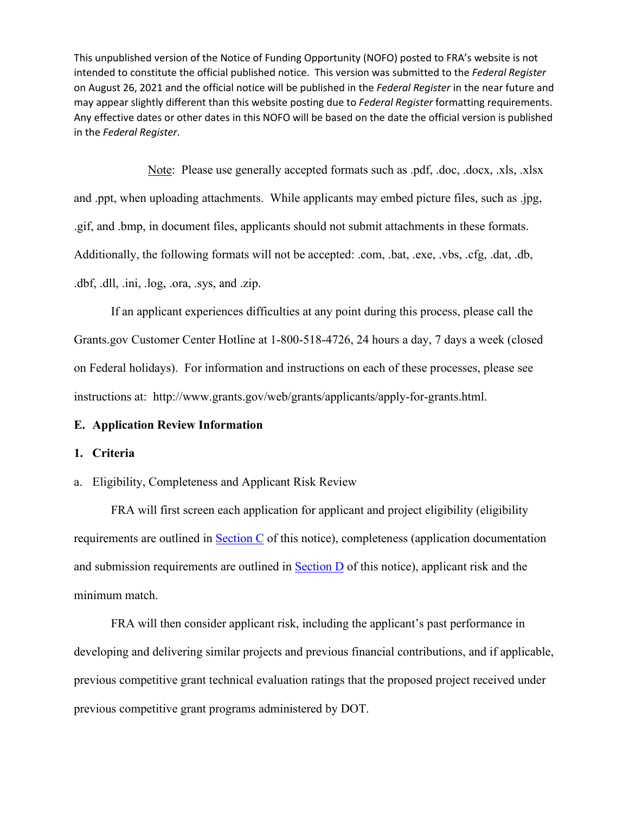Note: Please use generally accepted formats such as .pdf, .doc, .docx, .xls, .xlsx and .ppt, when uploading attachments. While applicants may embed picture files, such as .jpg, .gif, and .bmp, in document files, applicants should not submit attachments in these formats. Additionally, the following formats will not be accepted: .com, .bat, .exe, .vbs, .cfg, .dat, .db, .dbf, .dll, .ini, .log, .ora, .sys, and .zip.

 If an applicant experiences difficulties at any point during this process, please call the Grants.gov Customer Center Hotline at 1-800-518-4726, 24 hours a day, 7 days a week (closed on Federal holidays). For information and instructions on each of these processes, please see instructions at: [http://www.grants.gov/web/grants/applicants/apply-for-grants.html.](http://www.grants.gov/web/grants/applicants/apply-for-grants.html)

## **E. Application Review Information**

#### **1. Criteria**

#### a. Eligibility, Completeness and Applicant Risk Review

FRA will first screen each application for applicant and project eligibility (eligibility requirements are outlined in Section C of this notice), completeness (application documentation and submission requirements are outlined in Section D of this notice), applicant risk and the minimum match.

 FRA will then consider applicant risk, including the applicant's past performance in developing and delivering similar projects and previous financial contributions, and if applicable, previous competitive grant technical evaluation ratings that the proposed project received under previous competitive grant programs administered by DOT.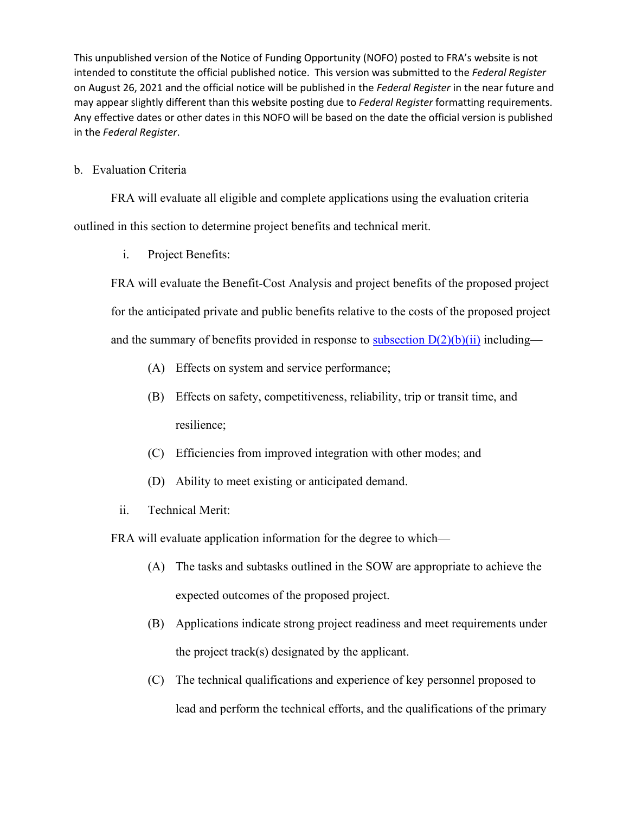b. Evaluation Criteria

FRA will evaluate all eligible and complete applications using the evaluation criteria outlined in this section to determine project benefits and technical merit.

i. Project Benefits:

FRA will evaluate the Benefit-Cost Analysis and project benefits of the proposed project for the anticipated private and public benefits relative to the costs of the proposed project and the summary of benefits provided in response to subsection  $D(2)(b)(ii)$  including—

- (A) Effects on system and service performance;
- (B) Effects on safety, competitiveness, reliability, trip or transit time, and resilience;
- (C) Efficiencies from improved integration with other modes; and
- (D) Ability to meet existing or anticipated demand.
- ii. Technical Merit:

FRA will evaluate application information for the degree to which—

- (A) The tasks and subtasks outlined in the SOW are appropriate to achieve the expected outcomes of the proposed project.
- (B) Applications indicate strong project readiness and meet requirements under the project track(s) designated by the applicant.
- (C) The technical qualifications and experience of key personnel proposed to lead and perform the technical efforts, and the qualifications of the primary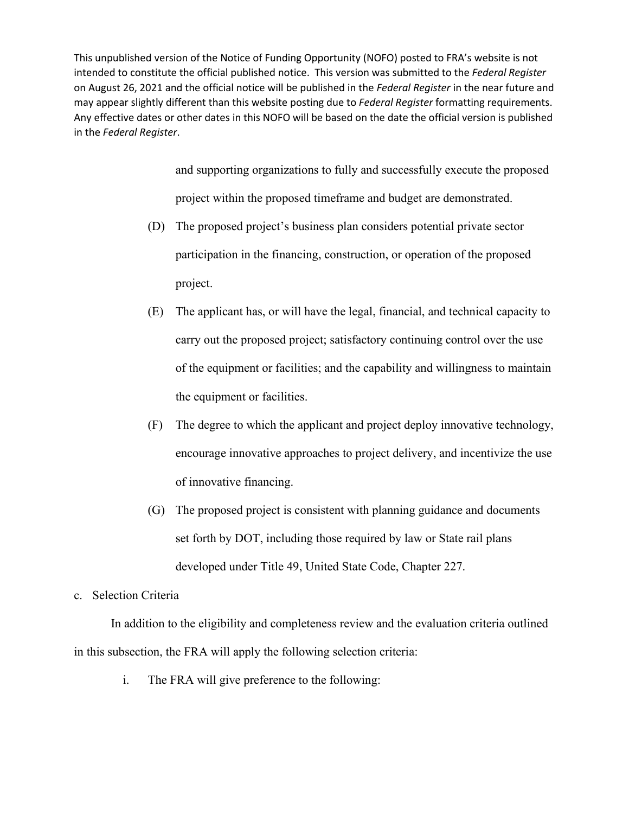> and supporting organizations to fully and successfully execute the proposed project within the proposed timeframe and budget are demonstrated.

- (D) The proposed project's business plan considers potential private sector participation in the financing, construction, or operation of the proposed project.
- (E) The applicant has, or will have the legal, financial, and technical capacity to carry out the proposed project; satisfactory continuing control over the use of the equipment or facilities; and the capability and willingness to maintain the equipment or facilities.
- (F) The degree to which the applicant and project deploy innovative technology, encourage innovative approaches to project delivery, and incentivize the use of innovative financing.
- (G) The proposed project is consistent with planning guidance and documents set forth by DOT, including those required by law or State rail plans developed under Title 49, United State Code, Chapter 227.

## c. Selection Criteria

In addition to the eligibility and completeness review and the evaluation criteria outlined in this subsection, the FRA will apply the following selection criteria:

i. The FRA will give preference to the following: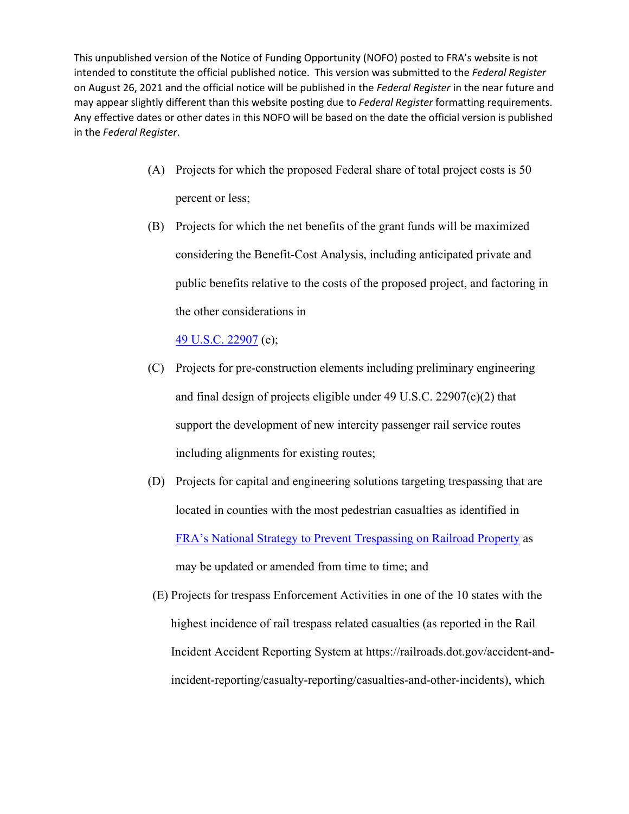- (A) Projects for which the proposed Federal share of total project costs is 50 percent or less;
- (B) Projects for which the net benefits of the grant funds will be maximized considering the Benefit-Cost Analysis, including anticipated private and public benefits relative to the costs of the proposed project, and factoring in the other considerations in

# [49 U.S.C. 22907](http://uscode.house.gov/view.xhtml?req=(title:49%20section:22907%20edition:prelim)%20OR%20(granuleid:USC-prelim-title49-section22907)&f=treesort&edition=prelim&num=0&jumpTo=true) (e);

- (C) Projects for pre-construction elements including preliminary engineering and final design of projects eligible under 49 U.S.C. 22907(c)(2) that support the development of new intercity passenger rail service routes including alignments for existing routes;
- (D) Projects for capital and engineering solutions targeting trespassing that are located in counties with the most pedestrian casualties as identified in [FRA's National Strategy to Prevent Trespassing on Railroad Property](https://railroads.dot.gov/elibrary/national-strategy-prevent-trespassing-railroad-property) as may be updated or amended from time to time; and
- (E) Projects for trespass Enforcement Activities in one of the 10 states with the highest incidence of rail trespass related casualties (as reported in the Rail Incident Accident Reporting System at [https://railroads.dot.gov/accident-and](https://railroads.dot.gov/accident-and-incident-reporting/casualty-reporting/casualties-and-other-incidents)[incident-reporting/casualty-reporting/casualties-and-other-incidents\)](https://railroads.dot.gov/accident-and-incident-reporting/casualty-reporting/casualties-and-other-incidents), which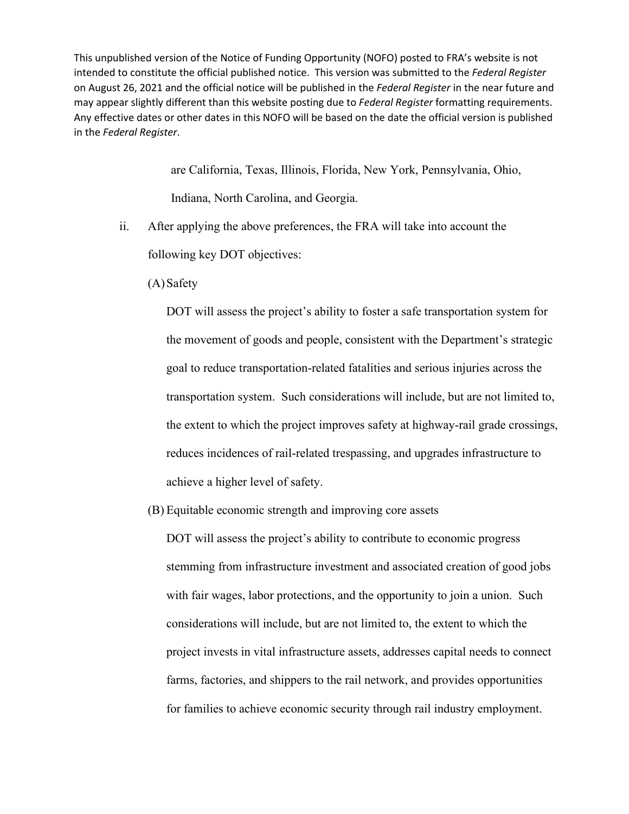> are California, Texas, Illinois, Florida, New York, Pennsylvania, Ohio, Indiana, North Carolina, and Georgia.

<span id="page-51-0"></span>ii. After applying the above preferences, the FRA will take into account the

following key DOT objectives:

(A) Safety

DOT will assess the project's ability to foster a safe transportation system for the movement of goods and people, consistent with the Department's strategic goal to reduce transportation-related fatalities and serious injuries across the transportation system. Such considerations will include, but are not limited to, the extent to which the project improves safety at highway-rail grade crossings, reduces incidences of rail-related trespassing, and upgrades infrastructure to achieve a higher level of safety.

(B) Equitable economic strength and improving core assets

DOT will assess the project's ability to contribute to economic progress stemming from infrastructure investment and associated creation of good jobs with fair wages, labor protections, and the opportunity to join a union. Such considerations will include, but are not limited to, the extent to which the project invests in vital infrastructure assets, addresses capital needs to connect farms, factories, and shippers to the rail network, and provides opportunities for families to achieve economic security through rail industry employment.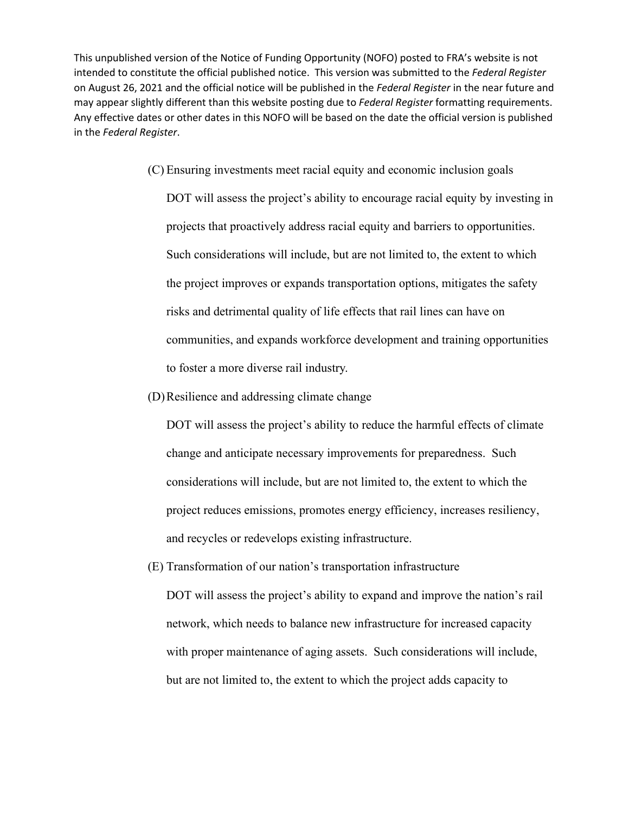(C) Ensuring investments meet racial equity and economic inclusion goals

DOT will assess the project's ability to encourage racial equity by investing in projects that proactively address racial equity and barriers to opportunities. Such considerations will include, but are not limited to, the extent to which the project improves or expands transportation options, mitigates the safety risks and detrimental quality of life effects that rail lines can have on communities, and expands workforce development and training opportunities to foster a more diverse rail industry.

(D)Resilience and addressing climate change

DOT will assess the project's ability to reduce the harmful effects of climate change and anticipate necessary improvements for preparedness. Such considerations will include, but are not limited to, the extent to which the project reduces emissions, promotes energy efficiency, increases resiliency, and recycles or redevelops existing infrastructure.

(E) Transformation of our nation's transportation infrastructure DOT will assess the project's ability to expand and improve the nation's rail network, which needs to balance new infrastructure for increased capacity with proper maintenance of aging assets. Such considerations will include, but are not limited to, the extent to which the project adds capacity to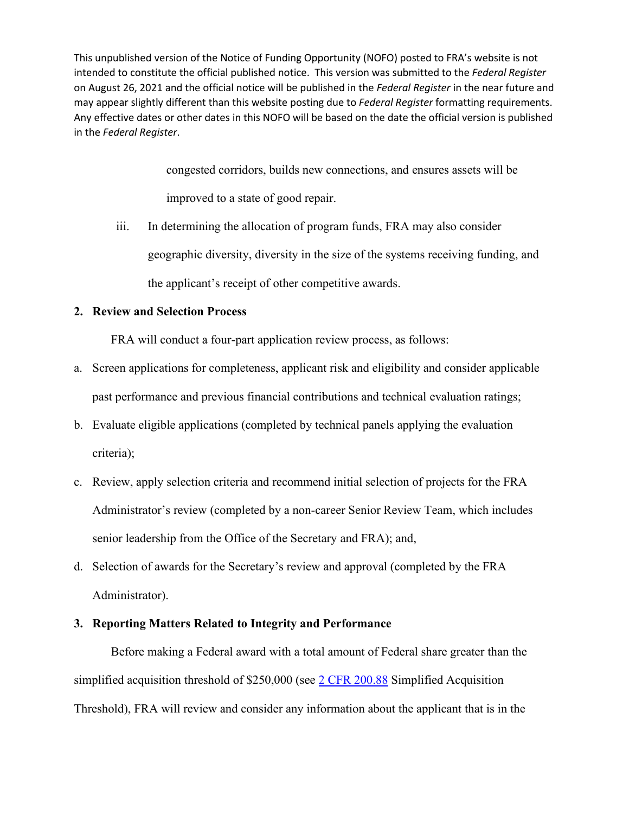> congested corridors, builds new connections, and ensures assets will be improved to a state of good repair.

iii. In determining the allocation of program funds, FRA may also consider geographic diversity, diversity in the size of the systems receiving funding, and the applicant's receipt of other competitive awards.

# **2. Review and Selection Process**

FRA will conduct a four-part application review process, as follows:

- a. Screen applications for completeness, applicant risk and eligibility and consider applicable past performance and previous financial contributions and technical evaluation ratings;
- b. Evaluate eligible applications (completed by technical panels applying the evaluation criteria);
- c. Review, apply selection criteria and recommend initial selection of projects for the FRA Administrator's review (completed by a non-career Senior Review Team, which includes senior leadership from the Office of the Secretary and FRA); and,
- d. Selection of awards for the Secretary's review and approval (completed by the FRA Administrator).

#### **3. Reporting Matters Related to Integrity and Performance**

Before making a Federal award with a total amount of Federal share greater than the simplified acquisition threshold of \$250,000 (see [2 CFR 200.88](https://www.govinfo.gov/content/pkg/CFR-2018-title2-vol1/xml/CFR-2018-title2-vol1-sec200-88.xml) Simplified Acquisition Threshold), FRA will review and consider any information about the applicant that is in the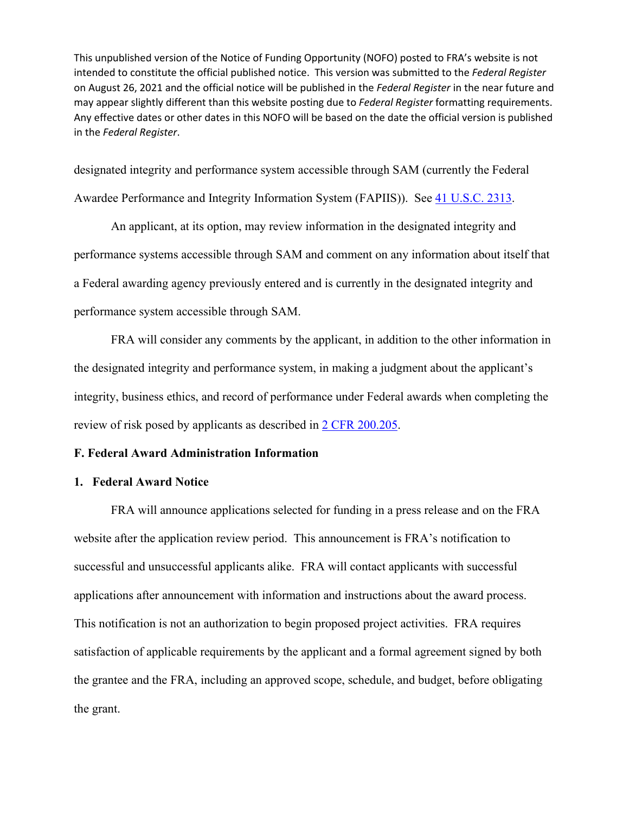designated integrity and performance system accessible through SAM (currently the Federal Awardee Performance and Integrity Information System (FAPIIS)). See [41 U.S.C. 2313.](https://www.govinfo.gov/content/pkg/USCODE-2011-title41/html/USCODE-2011-title41-subtitleI-divsnB-chap23-sec2313.htm)

 An applicant, at its option, may review information in the designated integrity and performance systems accessible through SAM and comment on any information about itself that a Federal awarding agency previously entered and is currently in the designated integrity and performance system accessible through SAM.

 FRA will consider any comments by the applicant, in addition to the other information in the designated integrity and performance system, in making a judgment about the applicant's integrity, business ethics, and record of performance under Federal awards when completing the review of risk posed by applicants as described in [2 CFR 200.205.](https://www.govinfo.gov/content/pkg/CFR-2018-title2-vol1/xml/CFR-2018-title2-vol1-sec200-205.xml)

#### **F. Federal Award Administration Information**

## **1. Federal Award Notice**

FRA will announce applications selected for funding in a press release and on the FRA website after the application review period. This announcement is FRA's notification to successful and unsuccessful applicants alike. FRA will contact applicants with successful applications after announcement with information and instructions about the award process. This notification is not an authorization to begin proposed project activities. FRA requires satisfaction of applicable requirements by the applicant and a formal agreement signed by both the grantee and the FRA, including an approved scope, schedule, and budget, before obligating the grant.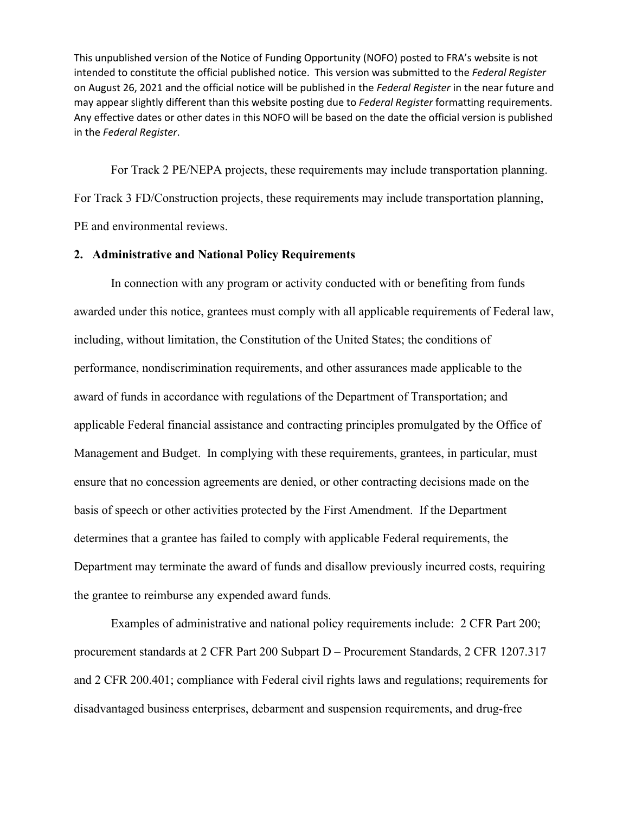For Track 2 PE/NEPA projects, these requirements may include transportation planning. For Track 3 FD/Construction projects, these requirements may include transportation planning, PE and environmental reviews.

# <span id="page-55-0"></span>**2. Administrative and National Policy Requirements**

 In connection with any program or activity conducted with or benefiting from funds awarded under this notice, grantees must comply with all applicable requirements of Federal law, including, without limitation, the Constitution of the United States; the conditions of performance, nondiscrimination requirements, and other assurances made applicable to the award of funds in accordance with regulations of the Department of Transportation; and applicable Federal financial assistance and contracting principles promulgated by the Office of Management and Budget. In complying with these requirements, grantees, in particular, must ensure that no concession agreements are denied, or other contracting decisions made on the basis of speech or other activities protected by the First Amendment. If the Department determines that a grantee has failed to comply with applicable Federal requirements, the Department may terminate the award of funds and disallow previously incurred costs, requiring the grantee to reimburse any expended award funds.

 Examples of administrative and national policy requirements include: 2 CFR Part 200; procurement standards at 2 CFR Part 200 Subpart D – Procurement Standards, 2 CFR 1207.317 and 2 CFR 200.401; compliance with Federal civil rights laws and regulations; requirements for disadvantaged business enterprises, debarment and suspension requirements, and drug-free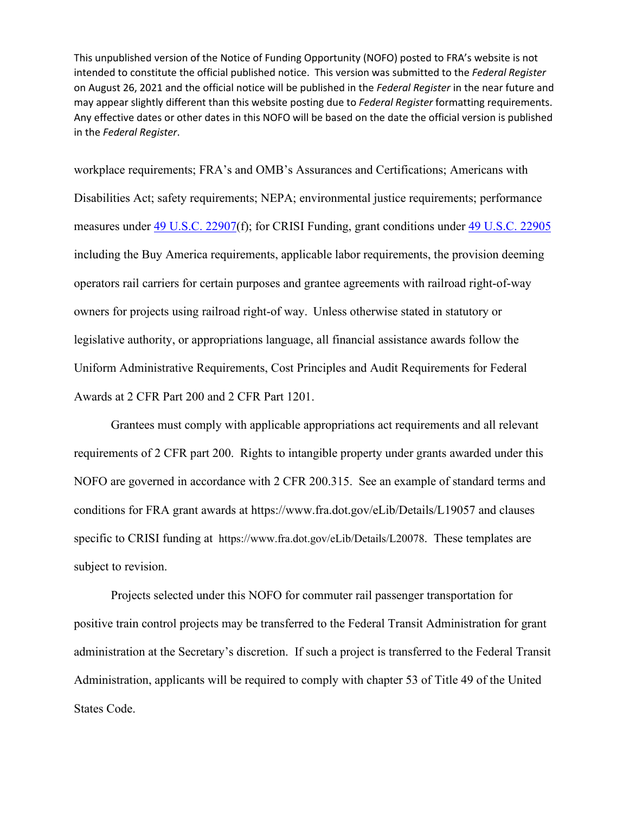workplace requirements; FRA's and OMB's Assurances and Certifications; Americans with Disabilities Act; safety requirements; NEPA; environmental justice requirements; performance measures under [49 U.S.C. 22907\(](http://uscode.house.gov/view.xhtml?req=(title:49%20section:22907%20edition:prelim)%20OR%20(granuleid:USC-prelim-title49-section22907)&f=treesort&edition=prelim&num=0&jumpTo=true)f); for CRISI Funding, grant conditions under [49 U.S.C. 22905](http://uscode.house.gov/view.xhtml?req=(title:49%20section:22905%20edition:prelim)%20OR%20(granuleid:USC-prelim-title49-section22905)&f=treesort&edition=prelim&num=0&jumpTo=true) including the Buy America requirements, applicable labor requirements, the provision deeming operators rail carriers for certain purposes and grantee agreements with railroad right-of-way owners for projects using railroad right-of way. Unless otherwise stated in statutory or legislative authority, or appropriations language, all financial assistance awards follow the Uniform Administrative Requirements, Cost Principles and Audit Requirements for Federal Awards at 2 CFR Part 200 and 2 CFR Part 1201.

 Grantees must comply with applicable appropriations act requirements and all relevant requirements of 2 CFR part 200. Rights to intangible property under grants awarded under this NOFO are governed in accordance with 2 CFR 200.315. See an example of standard terms and conditions for FRA grant awards at<https://www.fra.dot.gov/eLib/Details/L19057> and clauses specific to CRISI funding at [https://www.fra.dot.gov/eLib/Details/L20078.](https://www.fra.dot.gov/eLib/Details/L20078) These templates are subject to revision.

Projects selected under this NOFO for commuter rail passenger transportation for positive train control projects may be transferred to the Federal Transit Administration for grant administration at the Secretary's discretion. If such a project is transferred to the Federal Transit Administration, applicants will be required to comply with chapter 53 of Title 49 of the United States Code.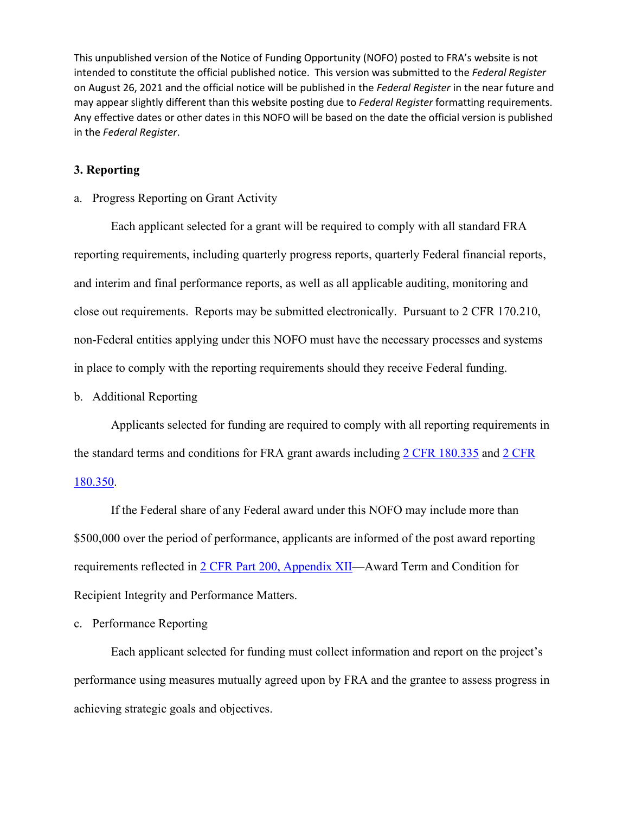## **3. Reporting**

#### a. Progress Reporting on Grant Activity

 Each applicant selected for a grant will be required to comply with all standard FRA reporting requirements, including quarterly progress reports, quarterly Federal financial reports, and interim and final performance reports, as well as all applicable auditing, monitoring and close out requirements. Reports may be submitted electronically. Pursuant to 2 CFR 170.210, non-Federal entities applying under this NOFO must have the necessary processes and systems in place to comply with the reporting requirements should they receive Federal funding.

## b. Additional Reporting

 Applicants selected for funding are required to comply with all reporting requirements in the standard terms and conditions for FRA grant awards including [2 CFR 180.335](https://www.govinfo.gov/content/pkg/CFR-2018-title2-vol1/xml/CFR-2018-title2-vol1-sec180-335.xml) and [2 CFR](https://www.govinfo.gov/content/pkg/CFR-2018-title2-vol1/xml/CFR-2018-title2-vol1-sec180-350.xml)  [180.350.](https://www.govinfo.gov/content/pkg/CFR-2018-title2-vol1/xml/CFR-2018-title2-vol1-sec180-350.xml)

If the Federal share of any Federal award under this NOFO may include more than \$500,000 over the period of performance, applicants are informed of the post award reporting requirements reflected in [2 CFR Part 200, Appendix XII—](https://www.govinfo.gov/app/details/CFR-2018-title2-vol1/CFR-2018-title2-vol1-part200-appXII)Award Term and Condition for Recipient Integrity and Performance Matters.

#### <span id="page-57-0"></span>c. Performance Reporting

 Each applicant selected for funding must collect information and report on the project's performance using measures mutually agreed upon by FRA and the grantee to assess progress in achieving strategic goals and objectives.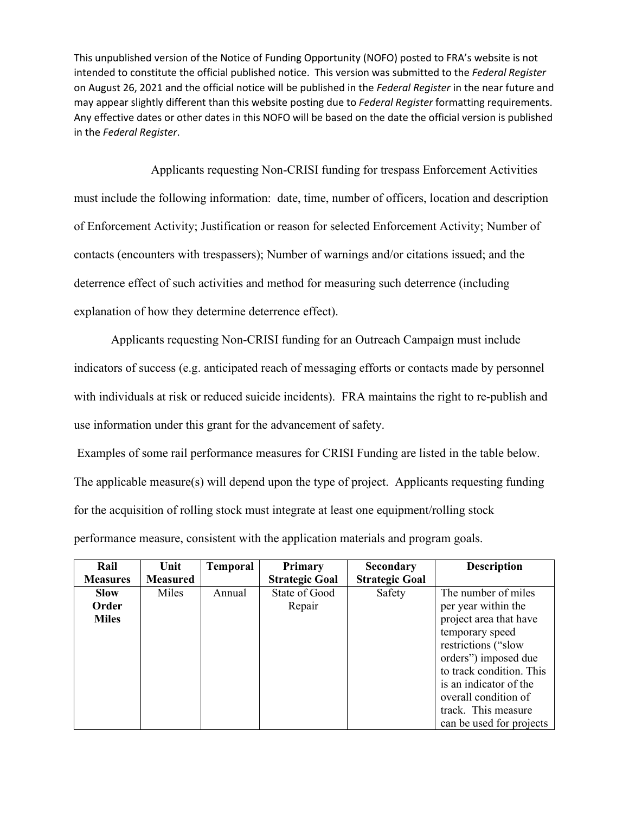Applicants requesting Non-CRISI funding for trespass Enforcement Activities must include the following information: date, time, number of officers, location and description of Enforcement Activity; Justification or reason for selected Enforcement Activity; Number of contacts (encounters with trespassers); Number of warnings and/or citations issued; and the deterrence effect of such activities and method for measuring such deterrence (including explanation of how they determine deterrence effect).

 Applicants requesting Non-CRISI funding for an Outreach Campaign must include indicators of success (e.g. anticipated reach of messaging efforts or contacts made by personnel with individuals at risk or reduced suicide incidents). FRA maintains the right to re-publish and use information under this grant for the advancement of safety.

 Examples of some rail performance measures for CRISI Funding are listed in the table below. The applicable measure(s) will depend upon the type of project. Applicants requesting funding for the acquisition of rolling stock must integrate at least one equipment/rolling stock performance measure, consistent with the application materials and program goals.

| Rail            | Unit            | <b>Temporal</b> | Primary               | <b>Secondary</b>      | <b>Description</b>       |
|-----------------|-----------------|-----------------|-----------------------|-----------------------|--------------------------|
| <b>Measures</b> | <b>Measured</b> |                 | <b>Strategic Goal</b> | <b>Strategic Goal</b> |                          |
| <b>Slow</b>     | Miles           | Annual          | State of Good         | Safety                | The number of miles      |
| Order           |                 |                 | Repair                |                       | per year within the      |
| <b>Miles</b>    |                 |                 |                       |                       | project area that have   |
|                 |                 |                 |                       |                       | temporary speed          |
|                 |                 |                 |                       |                       | restrictions ("slow      |
|                 |                 |                 |                       |                       | orders") imposed due     |
|                 |                 |                 |                       |                       | to track condition. This |
|                 |                 |                 |                       |                       | is an indicator of the   |
|                 |                 |                 |                       |                       | overall condition of     |
|                 |                 |                 |                       |                       | track. This measure      |
|                 |                 |                 |                       |                       | can be used for projects |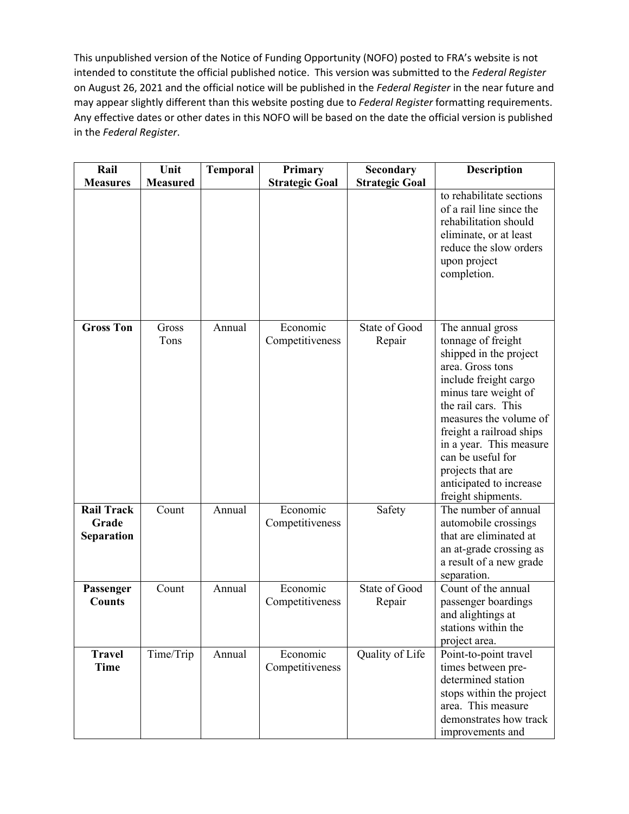| Rail                                     | Unit            | <b>Temporal</b> | Primary                     | Secondary               | <b>Description</b>                                                                                                                                                                                                                                                                                                                       |
|------------------------------------------|-----------------|-----------------|-----------------------------|-------------------------|------------------------------------------------------------------------------------------------------------------------------------------------------------------------------------------------------------------------------------------------------------------------------------------------------------------------------------------|
| <b>Measures</b>                          | <b>Measured</b> |                 | <b>Strategic Goal</b>       | <b>Strategic Goal</b>   |                                                                                                                                                                                                                                                                                                                                          |
|                                          |                 |                 |                             |                         | to rehabilitate sections<br>of a rail line since the<br>rehabilitation should<br>eliminate, or at least<br>reduce the slow orders<br>upon project<br>completion.                                                                                                                                                                         |
| <b>Gross Ton</b>                         | Gross<br>Tons   | Annual          | Economic<br>Competitiveness | State of Good<br>Repair | The annual gross<br>tonnage of freight<br>shipped in the project<br>area. Gross tons<br>include freight cargo<br>minus tare weight of<br>the rail cars. This<br>measures the volume of<br>freight a railroad ships<br>in a year. This measure<br>can be useful for<br>projects that are<br>anticipated to increase<br>freight shipments. |
| <b>Rail Track</b><br>Grade<br>Separation | Count           | Annual          | Economic<br>Competitiveness | Safety                  | The number of annual<br>automobile crossings<br>that are eliminated at<br>an at-grade crossing as<br>a result of a new grade<br>separation.                                                                                                                                                                                              |
| Passenger<br><b>Counts</b>               | Count           | Annual          | Economic<br>Competitiveness | State of Good<br>Repair | Count of the annual<br>passenger boardings<br>and alightings at<br>stations within the<br>project area.                                                                                                                                                                                                                                  |
| <b>Travel</b><br>Time                    | Time/Trip       | Annual          | Economic<br>Competitiveness | Quality of Life         | Point-to-point travel<br>times between pre-<br>determined station<br>stops within the project<br>area. This measure<br>demonstrates how track<br>improvements and                                                                                                                                                                        |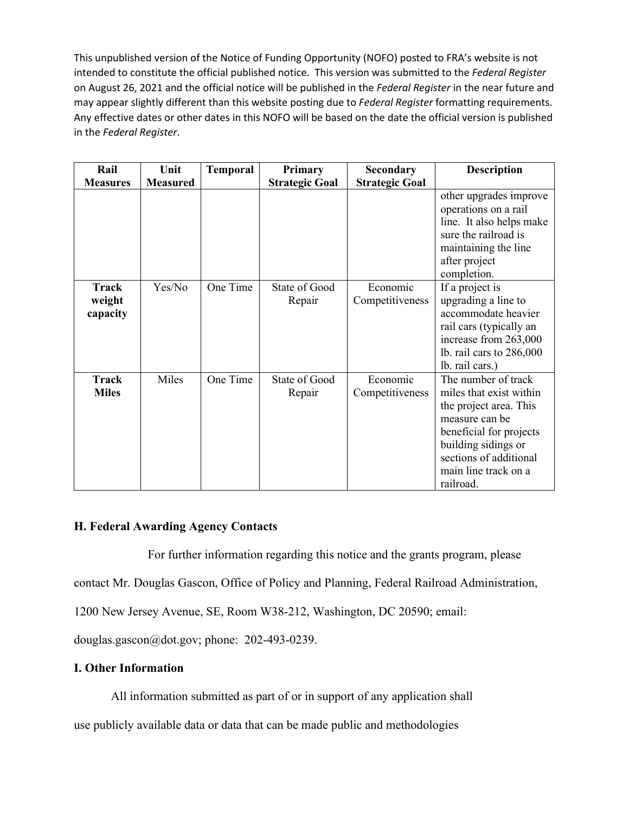| Rail                               | Unit            | <b>Temporal</b> | Primary                 | <b>Secondary</b>            | <b>Description</b>                                                                                                                                                                                          |
|------------------------------------|-----------------|-----------------|-------------------------|-----------------------------|-------------------------------------------------------------------------------------------------------------------------------------------------------------------------------------------------------------|
| <b>Measures</b>                    | <b>Measured</b> |                 | <b>Strategic Goal</b>   | <b>Strategic Goal</b>       |                                                                                                                                                                                                             |
|                                    |                 |                 |                         |                             | other upgrades improve<br>operations on a rail<br>line. It also helps make<br>sure the railroad is<br>maintaining the line<br>after project<br>completion.                                                  |
| <b>Track</b><br>weight<br>capacity | Yes/No          | One Time        | State of Good<br>Repair | Economic<br>Competitiveness | If a project is<br>upgrading a line to<br>accommodate heavier<br>rail cars (typically an<br>increase from 263,000<br>lb. rail cars to $286,000$<br>lb. rail cars.)                                          |
| Track<br><b>Miles</b>              | Miles           | One Time        | State of Good<br>Repair | Economic<br>Competitiveness | The number of track<br>miles that exist within<br>the project area. This<br>measure can be<br>beneficial for projects<br>building sidings or<br>sections of additional<br>main line track on a<br>railroad. |

# **H. Federal Awarding Agency Contacts**

For further information regarding this notice and the grants program, please

contact Mr. Douglas Gascon, Office of Policy and Planning, Federal Railroad Administration,

1200 New Jersey Avenue, SE, Room W38-212, Washington, DC 20590; email:

[douglas.gascon@dot.gov;](mailto:frances.bourne@dot.gov) phone: 202-493-0239.

# **I. Other Information**

All information submitted as part of or in support of any application shall use publicly available data or data that can be made public and methodologies